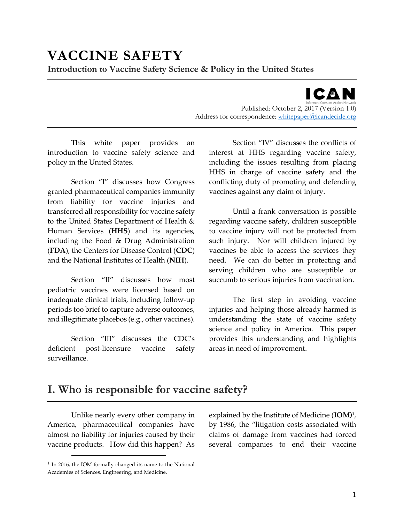ICAN

Published: October 2, 2017 (Version 1.0) Address for correspondence: [whitepaper@icandecide.org](mailto:whitepaper@icandecide.org)

This white paper provides an introduction to vaccine safety science and policy in the United States.

Section "I" discusses how Congress granted pharmaceutical companies immunity from liability for vaccine injuries and transferred all responsibility for vaccine safety to the United States Department of Health & Human Services (**HHS**) and its agencies, including the Food & Drug Administration (**FDA**), the Centers for Disease Control (**CDC**) and the National Institutes of Health (**NIH**).

Section "II" discusses how most pediatric vaccines were licensed based on inadequate clinical trials, including follow-up periods too brief to capture adverse outcomes, and illegitimate placebos (e.g., other vaccines).

Section "III" discusses the CDC's deficient post-licensure vaccine safety surveillance.

Section "IV" discusses the conflicts of interest at HHS regarding vaccine safety, including the issues resulting from placing HHS in charge of vaccine safety and the conflicting duty of promoting and defending vaccines against any claim of injury.

Until a frank conversation is possible regarding vaccine safety, children susceptible to vaccine injury will not be protected from such injury. Nor will children injured by vaccines be able to access the services they need. We can do better in protecting and serving children who are susceptible or succumb to serious injuries from vaccination.

The first step in avoiding vaccine injuries and helping those already harmed is understanding the state of vaccine safety science and policy in America. This paper provides this understanding and highlights areas in need of improvement.

# **I. Who is responsible for vaccine safety?**

Unlike nearly every other company in America, pharmaceutical companies have almost no liability for injuries caused by their vaccine products. How did this happen? As

explained by the Institute of Medicine (**IOM)**<sup>1</sup> , by 1986, the "litigation costs associated with claims of damage from vaccines had forced several companies to end their vaccine

<sup>1</sup> In 2016, the IOM formally changed its name to the National Academies of Sciences, Engineering, and Medicine.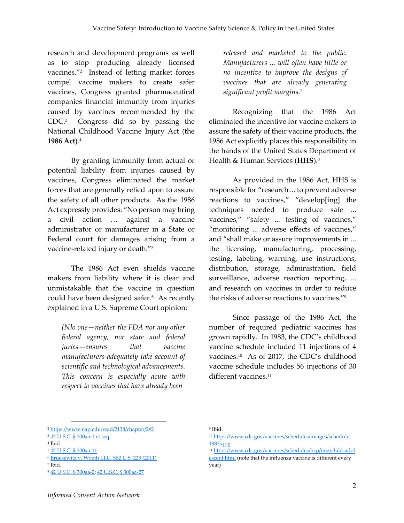research and development programs as well as to stop producing already licensed vaccines."<sup>2</sup> Instead of letting market forces compel vaccine makers to create safer vaccines, Congress granted pharmaceutical companies financial immunity from injuries caused by vaccines recommended by the CDC. <sup>3</sup> Congress did so by passing the National Childhood Vaccine Injury Act (the **1986 Act**). 4

By granting immunity from actual or potential liability from injuries caused by vaccines, Congress eliminated the market forces that are generally relied upon to assure the safety of all other products. As the 1986 Act expressly provides: "No person may bring a civil action … against a vaccine administrator or manufacturer in a State or Federal court for damages arising from a vaccine-related injury or death."<sup>5</sup>

The 1986 Act even shields vaccine makers from liability where it is clear and unmistakable that the vaccine in question could have been designed safer. 6 As recently explained in a U.S. Supreme Court opinion:

*[N]o one—neither the FDA nor any other federal agency, nor state and federal juries—ensures that vaccine manufacturers adequately take account of scientific and technological advancements. This concern is especially acute with respect to vaccines that have already been*

*released and marketed to the public. Manufacturers ... will often have little or no incentive to improve the designs of vaccines that are already generating significant profit margins.<sup>7</sup>*

Recognizing that the 1986 Act eliminated the incentive for vaccine makers to assure the safety of their vaccine products, the 1986 Act explicitly places this responsibility in the hands of the United States Department of Health & Human Services (**HHS**).<sup>8</sup>

As provided in the 1986 Act, HHS is responsible for "research ... to prevent adverse reactions to vaccines," "develop[ing] the techniques needed to produce safe ... vaccines," "safety ... testing of vaccines," "monitoring ... adverse effects of vaccines," and "shall make or assure improvements in ... the licensing, manufacturing, processing, testing, labeling, warning, use instructions, distribution, storage, administration, field surveillance, adverse reaction reporting, ... and research on vaccines in order to reduce the risks of adverse reactions to vaccines."<sup>9</sup>

Since passage of the 1986 Act, the number of required pediatric vaccines has grown rapidly. In 1983, the CDC's childhood vaccine schedule included 11 injections of 4 vaccines.<sup>10</sup> As of 2017, the CDC's childhood vaccine schedule includes 56 injections of 30 different vaccines.<sup>11</sup>

<sup>2</sup> <https://www.nap.edu/read/2138/chapter/2#2>

<sup>3</sup> [42 U.S.C. § 300aa-1 et seq.](https://www.law.cornell.edu/uscode/text/42/chapter-6A/subchapter-XIX/)

<sup>4</sup> Ibid.

<sup>5</sup> [42 U.S.C. § 300aa-11](https://www.law.cornell.edu/uscode/text/42/300aa-11)

<sup>6</sup> [Bruesewitz v. Wyeth LLC, 562 U.S. 223 \(2011\)](https://supreme.justia.com/cases/federal/us/562/223/dissent.html)

<sup>7</sup> Ibid.

<sup>8</sup> [42 U.S.C. § 300aa-2;](https://www.law.cornell.edu/uscode/text/42/300aa%E2%80%932) [42 U.S.C. § 300aa-27](https://www.law.cornell.edu/uscode/text/42/300aa%E2%80%9327)

<sup>9</sup> Ibid.

<sup>10</sup> [https://www.cdc.gov/vaccines/schedules/images/schedule](https://www.cdc.gov/vaccines/schedules/images/schedule1983s.jpg) [1983s.jpg](https://www.cdc.gov/vaccines/schedules/images/schedule1983s.jpg)

<sup>11</sup> [https://www.cdc.gov/vaccines/schedules/hcp/imz/child-adol](https://www.cdc.gov/vaccines/schedules/hcp/imz/child-adolescent.html) [escent.html](https://www.cdc.gov/vaccines/schedules/hcp/imz/child-adolescent.html) (note that the influenza vaccine is different every year)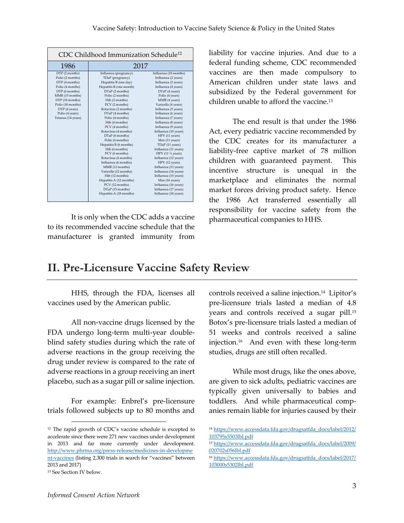| CDC Childhood Immunization Schedule <sup>12</sup>                                                                                                                                                               |                                                                                                                                                                                                                                                                                                                                                                                                                                                                                                                                                                                                                      |                                                                                                                                                                                                                                                                                                                                                                                                                                                                                                                                                                                                                                     |
|-----------------------------------------------------------------------------------------------------------------------------------------------------------------------------------------------------------------|----------------------------------------------------------------------------------------------------------------------------------------------------------------------------------------------------------------------------------------------------------------------------------------------------------------------------------------------------------------------------------------------------------------------------------------------------------------------------------------------------------------------------------------------------------------------------------------------------------------------|-------------------------------------------------------------------------------------------------------------------------------------------------------------------------------------------------------------------------------------------------------------------------------------------------------------------------------------------------------------------------------------------------------------------------------------------------------------------------------------------------------------------------------------------------------------------------------------------------------------------------------------|
| 1986                                                                                                                                                                                                            | 2017                                                                                                                                                                                                                                                                                                                                                                                                                                                                                                                                                                                                                 |                                                                                                                                                                                                                                                                                                                                                                                                                                                                                                                                                                                                                                     |
| DTP (2 months)<br>Polio (2 months)<br>DTP (4 months)<br>Polio (4 months)<br>DTP (6 months)<br>MMR (15 months)<br>DTP (18 months)<br>Polio (18 months)<br>DTP (4 years)<br>Polio (4 years)<br>Tetanus (14 years) | Influenza (pregnancy)<br>TDaP (pregnancy)<br>Hepatitis B (one day)<br>Hepatitis B (one month)<br>DTaP (2 months)<br>Polio (2 months)<br>Hib (2 months)<br>PCV (2 months)<br>Rotavirus (2 months)<br>DTaP (4 months)<br>Polio (4 months)<br>Hib (4 months)<br>PCV (4 months)<br>Rotavirus (4 months)<br>DTaP (6 months)<br>Polio (6 months)<br>Hepatitis B (6 months)<br>Hib (6 months)<br>PCV (6 months)<br>Rotavirus (6 months)<br>Influenza (6 months)<br>MMR (12 months)<br>Varicella (12 months)<br>Hib (12 months)<br>Hepatitis A (12 months)<br>PCV (12 months)<br>DTaP (15 months)<br>Hepatitis A (18 months) | Influenza (18 months)<br>Influenza (2 years)<br>Influenza (3 years)<br>Influenza (4 years)<br>DTaP (4 years)<br>Polio (4 years)<br>MMR (4 years)<br>Varicella (4 years)<br>Influenza (5 years)<br>Influenza (6 years)<br>Influenza (7 years)<br>Influenza (8 years)<br>Influenza (9 years)<br>Influenza (10 years)<br>HPV (11 years)<br>Men (11 years)<br>TDaP (11 years)<br>Influenza (11 years)<br>HPV (11 1/2 years)<br>Influenza (12 years)<br>HPV (12 years)<br>Influenza (13 years)<br>Influenza (14 years)<br>Influenza (15 years)<br>Men (16 years)<br>Influenza (16 years)<br>Influenza (17 years)<br>Influenza (18 years) |

It is only when the CDC adds a vaccine to its recommended vaccine schedule that the manufacturer is granted immunity from

liability for vaccine injuries. And due to a federal funding scheme, CDC recommended vaccines are then made compulsory to American children under state laws and subsidized by the Federal government for children unable to afford the vaccine.<sup>13</sup>

The end result is that under the 1986 Act, every pediatric vaccine recommended by the CDC creates for its manufacturer a liability-free captive market of 78 million children with guaranteed payment. This incentive structure is unequal in the marketplace and eliminates the normal market forces driving product safety. Hence the 1986 Act transferred essentially all responsibility for vaccine safety from the pharmaceutical companies to HHS.

# **II. Pre-Licensure Vaccine Safety Review**

HHS, through the FDA, licenses all vaccines used by the American public.

All non-vaccine drugs licensed by the FDA undergo long-term multi-year doubleblind safety studies during which the rate of adverse reactions in the group receiving the drug under review is compared to the rate of adverse reactions in a group receiving an inert placebo, such as a sugar pill or saline injection.

For example: Enbrel's pre-licensure trials followed subjects up to 80 months and

 $\overline{a}$ 

controls received a saline injection.<sup>14</sup> Lipitor's pre-licensure trials lasted a median of 4.8 years and controls received a sugar pill.<sup>15</sup> Botox's pre-licensure trials lasted a median of 51 weeks and controls received a saline injection.<sup>16</sup> And even with these long-term studies, drugs are still often recalled.

While most drugs, like the ones above, are given to sick adults, pediatric vaccines are typically given universally to babies and toddlers. And while pharmaceutical companies remain liable for injuries caused by their

<sup>12</sup> The rapid growth of CDC's vaccine schedule is excepted to accelerate since there were 271 new vaccines under development in 2013 and far more currently under development. [http://www.phrma.org/press-release/medicines-in-developme](http://www.phrma.org/press-release/medicines-in-development-vaccines) [nt-vaccines](http://www.phrma.org/press-release/medicines-in-development-vaccines) (listing 2,300 trials in search for "vaccines" between 2013 and 2017)

<sup>13</sup> See Section IV below.

<sup>14</sup> [https://www.accessdata.fda.gov/drugsatfda\\_docs/label/2012/](https://www.accessdata.fda.gov/drugsatfda_docs/label/2012/103795s5503lbl.pdf) [103795s5503lbl.pdf](https://www.accessdata.fda.gov/drugsatfda_docs/label/2012/103795s5503lbl.pdf)

<sup>15</sup> [https://www.accessdata.fda.gov/drugsatfda\\_docs/label/2009/](https://www.accessdata.fda.gov/drugsatfda_docs/label/2009/020702s056lbl.pdf) [020702s056lbl.pdf](https://www.accessdata.fda.gov/drugsatfda_docs/label/2009/020702s056lbl.pdf)

<sup>16</sup> [https://www.accessdata.fda.gov/drugsatfda\\_docs/label/2017/](https://www.accessdata.fda.gov/drugsatfda_docs/label/2017/103000s5302lbl.pdf) [103000s5302lbl.pdf](https://www.accessdata.fda.gov/drugsatfda_docs/label/2017/103000s5302lbl.pdf)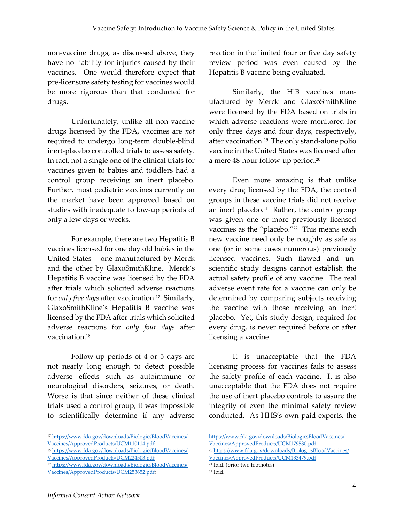non-vaccine drugs, as discussed above, they have no liability for injuries caused by their vaccines. One would therefore expect that pre-licensure safety testing for vaccines would be more rigorous than that conducted for drugs.

Unfortunately, unlike all non-vaccine drugs licensed by the FDA, vaccines are *not* required to undergo long-term double-blind inert-placebo controlled trials to assess safety. In fact, not a single one of the clinical trials for vaccines given to babies and toddlers had a control group receiving an inert placebo. Further, most pediatric vaccines currently on the market have been approved based on studies with inadequate follow-up periods of only a few days or weeks.

For example, there are two Hepatitis B vaccines licensed for one day old babies in the United States – one manufactured by Merck and the other by GlaxoSmithKline. Merck's Hepatitis B vaccine was licensed by the FDA after trials which solicited adverse reactions for *only five days* after vaccination.<sup>17</sup> Similarly, GlaxoSmithKline's Hepatitis B vaccine was licensed by the FDA after trials which solicited adverse reactions for *only four days* after vaccination.<sup>18</sup>

Follow-up periods of 4 or 5 days are not nearly long enough to detect possible adverse effects such as autoimmune or neurological disorders, seizures, or death. Worse is that since neither of these clinical trials used a control group, it was impossible to scientifically determine if any adverse

[Vaccines/ApprovedProducts/UCM110114.pdf](https://www.fda.gov/downloads/BiologicsBloodVaccines/Vaccines/ApprovedProducts/UCM110114.pdf) <sup>18</sup> [https://www.fda.gov/downloads/BiologicsBloodVaccines/](https://www.fda.gov/downloads/BiologicsBloodVaccines/Vaccines/ApprovedProducts/UCM224503.pdf) reaction in the limited four or five day safety review period was even caused by the Hepatitis B vaccine being evaluated.

Similarly, the HiB vaccines manufactured by Merck and GlaxoSmithKline were licensed by the FDA based on trials in which adverse reactions were monitored for only three days and four days, respectively, after vaccination.<sup>19</sup> The only stand-alone polio vaccine in the United States was licensed after a mere 48-hour follow-up period. 20

Even more amazing is that unlike every drug licensed by the FDA, the control groups in these vaccine trials did not receive an inert placebo. 21 Rather, the control group was given one or more previously licensed vaccines as the "placebo."<sup>22</sup> This means each new vaccine need only be roughly as safe as one (or in some cases numerous) previously licensed vaccines. Such flawed and unscientific study designs cannot establish the actual safety profile of any vaccine. The real adverse event rate for a vaccine can only be determined by comparing subjects receiving the vaccine with those receiving an inert placebo. Yet, this study design, required for every drug, is never required before or after licensing a vaccine.

It is unacceptable that the FDA licensing process for vaccines fails to assess the safety profile of each vaccine. It is also unacceptable that the FDA does not require the use of inert placebo controls to assure the integrity of even the minimal safety review conducted. As HHS's own paid experts, the

<sup>20</sup> [https://www.fda.gov/downloads/BiologicsBloodVaccines/](https://www.fda.gov/downloads/BiologicsBloodVaccines/Vaccines/ApprovedProducts/UCM133479.pdf)

<sup>17</sup> [https://www.fda.gov/downloads/BiologicsBloodVaccines/](https://www.fda.gov/downloads/BiologicsBloodVaccines/Vaccines/ApprovedProducts/UCM110114.pdf)

[Vaccines/ApprovedProducts/UCM224503.pdf](https://www.fda.gov/downloads/BiologicsBloodVaccines/Vaccines/ApprovedProducts/UCM224503.pdf)

<sup>19</sup> [https://www.fda.gov/downloads/BiologicsBloodVaccines/](https://www.fda.gov/downloads/BiologicsBloodVaccines/Vaccines/ApprovedProducts/UCM253652.pdf) [Vaccines/ApprovedProducts/UCM253652.pdf;](https://www.fda.gov/downloads/BiologicsBloodVaccines/Vaccines/ApprovedProducts/UCM253652.pdf) 

[https://www.fda.gov/downloads/BiologicsBloodVaccines/](https://www.fda.gov/downloads/BiologicsBloodVaccines/Vaccines/ApprovedProducts/UCM179530.pdf) [Vaccines/ApprovedProducts/UCM179530.pdf](https://www.fda.gov/downloads/BiologicsBloodVaccines/Vaccines/ApprovedProducts/UCM179530.pdf)

[Vaccines/ApprovedProducts/UCM133479.pdf](https://www.fda.gov/downloads/BiologicsBloodVaccines/Vaccines/ApprovedProducts/UCM133479.pdf)

<sup>21</sup> Ibid. (prior two footnotes) <sup>22</sup> Ibid.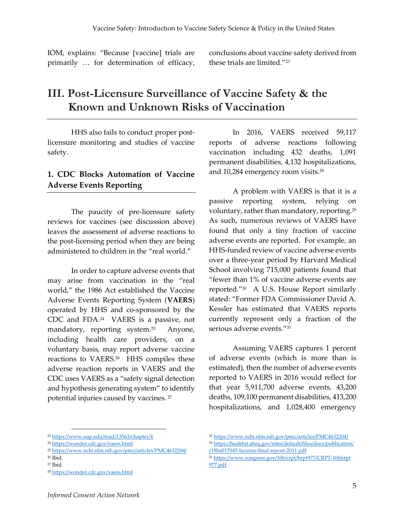IOM, explains: "Because [vaccine] trials are primarily … for determination of efficacy, conclusions about vaccine safety derived from these trials are limited."<sup>23</sup>

# **III. Post-Licensure Surveillance of Vaccine Safety & the Known and Unknown Risks of Vaccination**

HHS also fails to conduct proper postlicensure monitoring and studies of vaccine safety.

### **1. CDC Blocks Automation of Vaccine Adverse Events Reporting**

The paucity of pre-licensure safety reviews for vaccines (see discussion above) leaves the assessment of adverse reactions to the post-licensing period when they are being administered to children in the "real world."

In order to capture adverse events that may arise from vaccination in the "real world," the 1986 Act established the Vaccine Adverse Events Reporting System (**VAERS**) operated by HHS and co-sponsored by the CDC and FDA.<sup>24</sup> VAERS is a passive, not mandatory, reporting system.<sup>25</sup> Anyone, including health care providers, on a voluntary basis, may report adverse vaccine reactions to VAERS.<sup>26</sup> HHS compiles these adverse reaction reports in VAERS and the CDC uses VAERS as a "safety signal detection and hypothesis generating system" to identify potential injuries caused by vaccines. <sup>27</sup>

In 2016, VAERS received 59,117 reports of adverse reactions following vaccination including 432 deaths, 1,091 permanent disabilities, 4,132 hospitalizations, and 10,284 emergency room visits.<sup>28</sup>

A problem with VAERS is that it is a passive reporting system, relying on voluntary, rather than mandatory, reporting.<sup>29</sup> As such, numerous reviews of VAERS have found that only a tiny fraction of vaccine adverse events are reported. For example, an HHS-funded review of vaccine adverse events over a three-year period by Harvard Medical School involving 715,000 patients found that "fewer than 1% of vaccine adverse events are reported."<sup>30</sup> A U.S. House Report similarly stated: "Former FDA Commissioner David A. Kessler has estimated that VAERS reports currently represent only a fraction of the serious adverse events."<sup>31</sup>

Assuming VAERS captures 1 percent of adverse events (which is more than is estimated), then the number of adverse events reported to VAERS in 2016 would reflect for that year 5,911,700 adverse events, 43,200 deaths, 109,100 permanent disabilities, 413,200 hospitalizations, and 1,028,400 emergency

- <sup>25</sup> <https://www.ncbi.nlm.nih.gov/pmc/articles/PMC4632204/>
- <sup>26</sup> Ibid.

<sup>23</sup> <https://www.nap.edu/read/13563/chapter/4>

<sup>24</sup> <https://wonder.cdc.gov/vaers.html>

<sup>27</sup> Ibid.

<sup>28</sup> <https://wonder.cdc.gov/vaers.html>

<sup>29</sup> <https://www.ncbi.nlm.nih.gov/pmc/articles/PMC4632204/>

<sup>30</sup> [https://healthit.ahrq.gov/sites/default/files/docs/publication/](https://healthit.ahrq.gov/sites/default/files/docs/publication/r18hs017045-lazarus-final-report-2011.pdf) [r18hs017045-lazarus-final-report-2011.pdf](https://healthit.ahrq.gov/sites/default/files/docs/publication/r18hs017045-lazarus-final-report-2011.pdf)

<sup>31</sup> [https://www.congress.gov/106/crpt/hrpt977/CRPT-106hrpt](https://www.congress.gov/106/crpt/hrpt977/CRPT-106hrpt977.pdf) [977.pdf](https://www.congress.gov/106/crpt/hrpt977/CRPT-106hrpt977.pdf)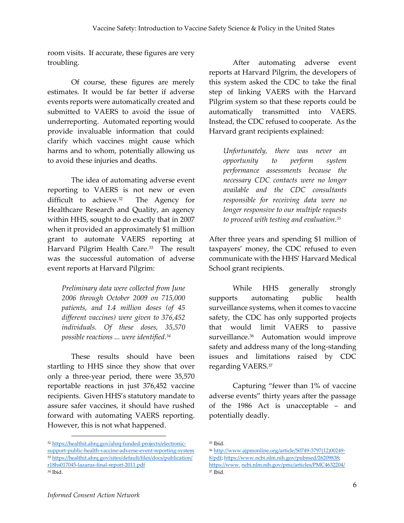room visits. If accurate, these figures are very troubling.

Of course, these figures are merely estimates. It would be far better if adverse events reports were automatically created and submitted to VAERS to avoid the issue of underreporting. Automated reporting would provide invaluable information that could clarify which vaccines might cause which harms and to whom, potentially allowing us to avoid these injuries and deaths.

The idea of automating adverse event reporting to VAERS is not new or even difficult to achieve.<sup>32</sup> The Agency for Healthcare Research and Quality, an agency within HHS, sought to do exactly that in 2007 when it provided an approximately \$1 million grant to automate VAERS reporting at Harvard Pilgrim Health Care.<sup>33</sup> The result was the successful automation of adverse event reports at Harvard Pilgrim:

*Preliminary data were collected from June 2006 through October 2009 on 715,000 patients, and 1.4 million doses (of 45 different vaccines) were given to 376,452 individuals. Of these doses, 35,570 possible reactions ... were identified.<sup>34</sup>*

These results should have been startling to HHS since they show that over only a three-year period, there were 35,570 reportable reactions in just 376,452 vaccine recipients. Given HHS's statutory mandate to assure safer vaccines, it should have rushed forward with automating VAERS reporting. However, this is not what happened.

After automating adverse event reports at Harvard Pilgrim, the developers of this system asked the CDC to take the final step of linking VAERS with the Harvard Pilgrim system so that these reports could be automatically transmitted into VAERS. Instead, the CDC refused to cooperate. As the Harvard grant recipients explained:

*Unfortunately, there was never an opportunity to perform system performance assessments because the necessary CDC contacts were no longer available and the CDC consultants responsible for receiving data were no longer responsive to our multiple requests to proceed with testing and evaluation.<sup>35</sup>*

After three years and spending \$1 million of taxpayers' money, the CDC refused to even communicate with the HHS' Harvard Medical School grant recipients.

While HHS generally strongly supports automating public health surveillance systems, when it comes to vaccine safety, the CDC has only supported projects that would limit VAERS to passive surveillance.<sup>36</sup> Automation would improve safety and address many of the long-standing issues and limitations raised by CDC regarding VAERS.<sup>37</sup>

Capturing "fewer than 1% of vaccine adverse events" thirty years after the passage of the 1986 Act is unacceptable – and potentially deadly.

<sup>32</sup> [https://healthit.ahrq.gov/ahrq-funded-projects/electronic](https://healthit.ahrq.gov/ahrq-funded-projects/electronic-support-public-health-vaccine-adverse-event-reporting-system)[support-public-health-vaccine-adverse-event-reporting-system](https://healthit.ahrq.gov/ahrq-funded-projects/electronic-support-public-health-vaccine-adverse-event-reporting-system) <sup>33</sup> [https://healthit.ahrq.gov/sites/default/files/docs/publication/](https://healthit.ahrq.gov/sites/default/files/docs/publication/r18hs017045-lazarus-final-report-2011.pdf) [r18hs017045-lazarus-final-report-2011.pdf](https://healthit.ahrq.gov/sites/default/files/docs/publication/r18hs017045-lazarus-final-report-2011.pdf) <sup>34</sup> Ibid.

<sup>35</sup> Ibid.

<sup>36</sup> [http://www.ajpmonline.org/article/S0749-3797\(12\)00249-](http://www.ajpmonline.org/article/S0749-3797(12)00249-8/pdf) [8/pdf;](http://www.ajpmonline.org/article/S0749-3797(12)00249-8/pdf) [https://www.ncbi.nlm.nih.gov/pubmed/26209838;](https://www.ncbi.nlm.nih.gov/pubmed/26209838)  https://www. [ncbi.nlm.nih.gov/pmc/articles/PMC4632204/](https://www.ncbi.nlm.nih.gov/pmc/articles/PMC4632204/) <sup>37</sup> Ibid.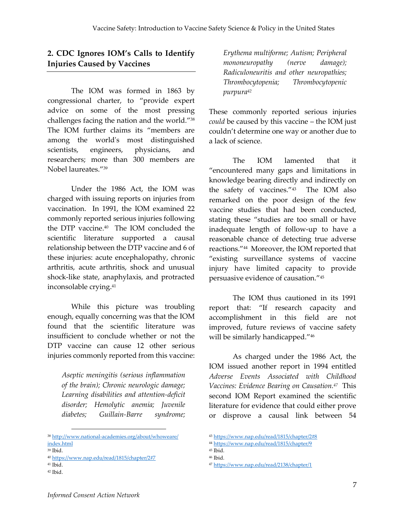## **2. CDC Ignores IOM's Calls to Identify Injuries Caused by Vaccines**

The IOM was formed in 1863 by congressional charter, to "provide expert advice on some of the most pressing challenges facing the nation and the world."<sup>38</sup> The IOM further claims its "members are among the world's most distinguished scientists, engineers, physicians, and researchers; more than 300 members are Nobel laureates."<sup>39</sup>

Under the 1986 Act, the IOM was charged with issuing reports on injuries from vaccination. In 1991, the IOM examined 22 commonly reported serious injuries following the DTP vaccine.<sup>40</sup> The IOM concluded the scientific literature supported a causal relationship between the DTP vaccine and 6 of these injuries: acute encephalopathy, chronic arthritis, acute arthritis, shock and unusual shock-like state, anaphylaxis, and protracted inconsolable crying.<sup>41</sup>

While this picture was troubling enough, equally concerning was that the IOM found that the scientific literature was insufficient to conclude whether or not the DTP vaccine can cause 12 other serious injuries commonly reported from this vaccine:

*Aseptic meningitis (serious inflammation of the brain); Chronic neurologic damage; Learning disabilities and attention-deficit disorder; Hemolytic anemia; Juvenile diabetes; Guillain-Barre syndrome;* 

 $\overline{a}$ 

*Erythema multiforme; Autism; Peripheral mononeuropathy (nerve damage); Radiculoneuritis and other neuropathies; Thrombocytopenia; Thrombocytopenic purpura<sup>42</sup>*

These commonly reported serious injuries *could* be caused by this vaccine – the IOM just couldn't determine one way or another due to a lack of science.

The IOM lamented that it "encountered many gaps and limitations in knowledge bearing directly and indirectly on the safety of vaccines."<sup>43</sup> The IOM also remarked on the poor design of the few vaccine studies that had been conducted, stating these "studies are too small or have inadequate length of follow-up to have a reasonable chance of detecting true adverse reactions."<sup>44</sup> Moreover, the IOM reported that "existing surveillance systems of vaccine injury have limited capacity to provide persuasive evidence of causation."<sup>45</sup>

The IOM thus cautioned in its 1991 report that: "If research capacity and accomplishment in this field are not improved, future reviews of vaccine safety will be similarly handicapped."<sup>46</sup>

As charged under the 1986 Act, the IOM issued another report in 1994 entitled *Adverse Events Associated with Childhood Vaccines: Evidence Bearing on Causation.<sup>47</sup>* This second IOM Report examined the scientific literature for evidence that could either prove or disprove a causal link between 54

<sup>38</sup> [http://www.national-academies.org/about/whoweare/](http://www.national-academies.org/about/whoweare/index.html) [index.html](http://www.national-academies.org/about/whoweare/index.html)

<sup>39</sup> Ibid.

<sup>40</sup> <https://www.nap.edu/read/1815/chapter/2#7>

<sup>41</sup> Ibid.

<sup>42</sup> Ibid.

<sup>43</sup> <https://www.nap.edu/read/1815/chapter/2#8>

<sup>44</sup> <https://www.nap.edu/read/1815/chapter/9>

 $45$  Ibid.

<sup>46</sup> Ibid.

<sup>47</sup> <https://www.nap.edu/read/2138/chapter/1>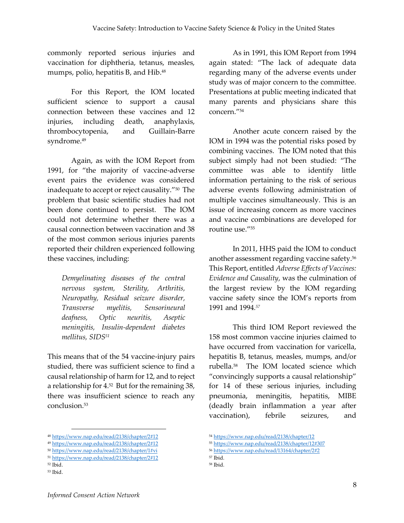commonly reported serious injuries and vaccination for diphtheria, tetanus, measles, mumps, polio, hepatitis B, and Hib.<sup>48</sup>

For this Report, the IOM located sufficient science to support a causal connection between these vaccines and 12 injuries, including death, anaphylaxis, thrombocytopenia, and Guillain-Barre syndrome.<sup>49</sup>

Again, as with the IOM Report from 1991, for "the majority of vaccine-adverse event pairs the evidence was considered inadequate to accept or reject causality."<sup>50</sup> The problem that basic scientific studies had not been done continued to persist. The IOM could not determine whether there was a causal connection between vaccination and 38 of the most common serious injuries parents reported their children experienced following these vaccines, including:

*Demyelinating diseases of the central nervous system, Sterility, Arthritis, Neuropathy, Residual seizure disorder, Transverse myelitis, Sensorineural deafness, Optic neuritis, Aseptic meningitis, Insulin-dependent diabetes mellitus, SIDS<sup>51</sup>*

This means that of the 54 vaccine-injury pairs studied, there was sufficient science to find a causal relationship of harm for 12, and to reject a relationship for 4. 52 But for the remaining 38, there was insufficient science to reach any conclusion.<sup>53</sup>

 $\overline{a}$ 

As in 1991, this IOM Report from 1994 again stated: "The lack of adequate data regarding many of the adverse events under study was of major concern to the committee. Presentations at public meeting indicated that many parents and physicians share this concern."<sup>54</sup>

Another acute concern raised by the IOM in 1994 was the potential risks posed by combining vaccines. The IOM noted that this subject simply had not been studied: "The committee was able to identify little information pertaining to the risk of serious adverse events following administration of multiple vaccines simultaneously. This is an issue of increasing concern as more vaccines and vaccine combinations are developed for routine use."<sup>55</sup>

In 2011, HHS paid the IOM to conduct another assessment regarding vaccine safety. 56 This Report, entitled *Adverse Effects of Vaccines: Evidence and Causality*, was the culmination of the largest review by the IOM regarding vaccine safety since the IOM's reports from 1991 and 1994*. 57*

This third IOM Report reviewed the 158 most common vaccine injuries claimed to have occurred from vaccination for varicella, hepatitis B, tetanus, measles, mumps, and/or rubella.<sup>58</sup> The IOM located science which "convincingly supports a causal relationship" for 14 of these serious injuries, including pneumonia, meningitis, hepatitis, MIBE (deadly brain inflammation a year after vaccination), febrile seizures, and

<sup>48</sup> <https://www.nap.edu/read/2138/chapter/2#12>

<sup>49</sup> <https://www.nap.edu/read/2138/chapter/2#12>

<sup>50</sup> <https://www.nap.edu/read/2138/chapter/1#vi> <sup>51</sup> <https://www.nap.edu/read/2138/chapter/2#12>

<sup>52</sup> Ibid.

<sup>53</sup> Ibid.

<sup>54</sup> <https://www.nap.edu/read/2138/chapter/12>

<sup>55</sup> <https://www.nap.edu/read/2138/chapter/12#307>

<sup>56</sup> <https://www.nap.edu/read/13164/chapter/2#2>

<sup>57</sup> Ibid.

<sup>58</sup> Ibid.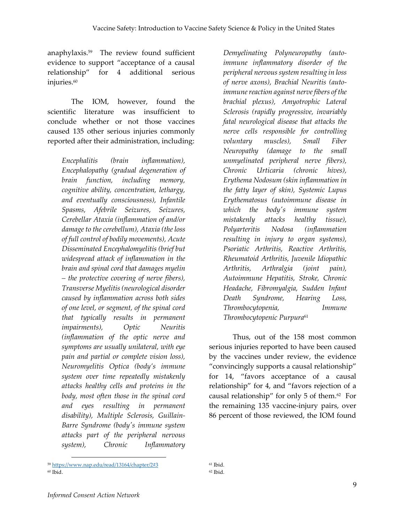anaphylaxis. <sup>59</sup> The review found sufficient evidence to support "acceptance of a causal relationship" for 4 additional serious injuries.<sup>60</sup>

The IOM, however, found the scientific literature was insufficient to conclude whether or not those vaccines caused 135 other serious injuries commonly reported after their administration, including:

*Encephalitis (brain inflammation), Encephalopathy (gradual degeneration of brain function, including memory, cognitive ability, concentration, lethargy, and eventually consciousness), Infantile Spasms, Afebrile Seizures, Seizures, Cerebellar Ataxia (inflammation of and/or damage to the cerebellum), Ataxia (the loss of full control of bodily movements), Acute Disseminated Encephalomyelitis (brief but widespread attack of inflammation in the brain and spinal cord that damages myelin – the protective covering of nerve fibers), Transverse Myelitis (neurological disorder caused by inflammation across both sides of one level, or segment, of the spinal cord that typically results in permanent impairments), Optic Neuritis (inflammation of the optic nerve and symptoms are usually unilateral, with eye pain and partial or complete vision loss), Neuromyelitis Optica (body's immune system over time repeatedly mistakenly attacks healthy cells and proteins in the body, most often those in the spinal cord and eyes resulting in permanent disability), Multiple Sclerosis, Guillain-Barre Syndrome (body's immune system attacks part of the peripheral nervous system), Chronic Inflammatory* 

*Demyelinating Polyneuropathy (autoimmune inflammatory disorder of the peripheral nervous system resulting in loss of nerve axons), Brachial Neuritis (autoimmune reaction against nerve fibers of the brachial plexus), Amyotrophic Lateral Sclerosis (rapidly progressive, invariably fatal neurological disease that attacks the nerve cells responsible for controlling voluntary muscles), Small Fiber Neuropathy (damage to the small unmyelinated peripheral nerve fibers), Chronic Urticaria (chronic hives), Erythema Nodosum (skin inflammation in the fatty layer of skin), Systemic Lupus Erythematosus (autoimmune disease in which the body's immune system mistakenly attacks healthy tissue), Polyarteritis Nodosa (inflammation resulting in injury to organ systems), Psoriatic Arthritis, Reactive Arthritis, Rheumatoid Arthritis, Juvenile Idiopathic Arthritis, Arthralgia (joint pain), Autoimmune Hepatitis, Stroke, Chronic Headache, Fibromyalgia, Sudden Infant Death Syndrome, Hearing Loss, Thrombocytopenia, Immune Thrombocytopenic Purpura*<sup>61</sup>

Thus, out of the 158 most common serious injuries reported to have been caused by the vaccines under review, the evidence "convincingly supports a causal relationship" for 14, "favors acceptance of a causal relationship" for 4, and "favors rejection of a causal relationship" for only 5 of them.<sup>62</sup> For the remaining 135 vaccine-injury pairs, over 86 percent of those reviewed, the IOM found

<sup>59</sup> <https://www.nap.edu/read/13164/chapter/2#3> <sup>60</sup> Ibid.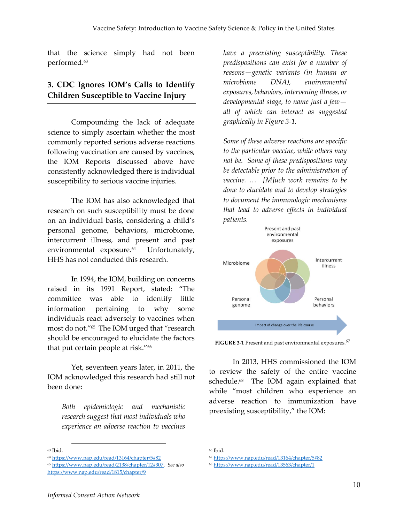that the science simply had not been performed.<sup>63</sup>

## **3. CDC Ignores IOM's Calls to Identify Children Susceptible to Vaccine Injury**

Compounding the lack of adequate science to simply ascertain whether the most commonly reported serious adverse reactions following vaccination are caused by vaccines, the IOM Reports discussed above have consistently acknowledged there is individual susceptibility to serious vaccine injuries.

The IOM has also acknowledged that research on such susceptibility must be done on an individual basis, considering a child's personal genome, behaviors, microbiome, intercurrent illness, and present and past environmental exposure.<sup>64</sup> Unfortunately, HHS has not conducted this research.

In 1994, the IOM, building on concerns raised in its 1991 Report, stated: "The committee was able to identify little information pertaining to why some individuals react adversely to vaccines when most do not."<sup>65</sup> The IOM urged that "research should be encouraged to elucidate the factors that put certain people at risk."<sup>66</sup>

Yet, seventeen years later, in 2011, the IOM acknowledged this research had still not been done:

*Both epidemiologic and mechanistic research suggest that most individuals who experience an adverse reaction to vaccines* 

1

*have a preexisting susceptibility. These predispositions can exist for a number of reasons—genetic variants (in human or microbiome DNA), environmental exposures, behaviors, intervening illness, or developmental stage, to name just a few all of which can interact as suggested graphically in Figure 3-1.*

*Some of these adverse reactions are specific to the particular vaccine, while others may not be. Some of these predispositions may be detectable prior to the administration of vaccine. … [M]uch work remains to be done to elucidate and to develop strategies to document the immunologic mechanisms that lead to adverse effects in individual patients.* 



**FIGURE 3-1** Present and past environmental exposures.*<sup>67</sup>*

In 2013, HHS commissioned the IOM to review the safety of the entire vaccine schedule.<sup>68</sup> The IOM again explained that while "most children who experience an adverse reaction to immunization have preexisting susceptibility," the IOM:

<sup>63</sup> Ibid.

<sup>64</sup> <https://www.nap.edu/read/13164/chapter/5#82>

<sup>65</sup> [https://www.nap.edu/read/2138/chapter/12#307.](https://www.nap.edu/read/2138/chapter/12#307) *See also*  <https://www.nap.edu/read/1815/chapter/9>

<sup>66</sup> Ibid.

<sup>67</sup> <https://www.nap.edu/read/13164/chapter/5#82>

<sup>68</sup> <https://www.nap.edu/read/13563/chapter/1>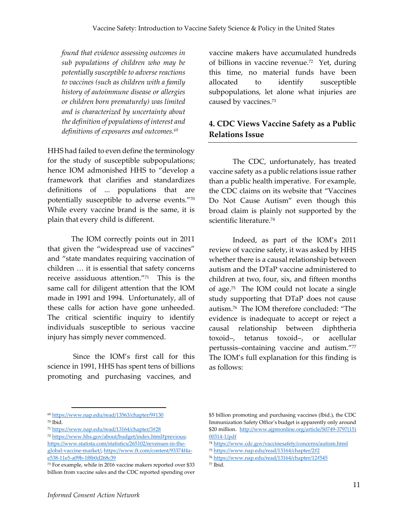*found that evidence assessing outcomes in sub populations of children who may be potentially susceptible to adverse reactions to vaccines (such as children with a family history of autoimmune disease or allergies or children born prematurely) was limited and is characterized by uncertainty about the definition of populations of interest and definitions of exposures and outcomes.<sup>69</sup>*

HHS had failed to even define the terminology for the study of susceptible subpopulations; hence IOM admonished HHS to "develop a framework that clarifies and standardizes definitions of ... populations that are potentially susceptible to adverse events."<sup>70</sup> While every vaccine brand is the same, it is plain that every child is different.

The IOM correctly points out in 2011 that given the "widespread use of vaccines" and "state mandates requiring vaccination of children … it is essential that safety concerns receive assiduous attention."<sup>71</sup> This is the same call for diligent attention that the IOM made in 1991 and 1994. Unfortunately, all of these calls for action have gone unheeded. The critical scientific inquiry to identify individuals susceptible to serious vaccine injury has simply never commenced.

Since the IOM's first call for this science in 1991, HHS has spent tens of billions promoting and purchasing vaccines, and

vaccine makers have accumulated hundreds of billions in vaccine revenue.<sup>72</sup> Yet, during this time, no material funds have been allocated to identify susceptible subpopulations, let alone what injuries are caused by vaccines.<sup>73</sup>

## **4. CDC Views Vaccine Safety as a Public Relations Issue**

The CDC, unfortunately, has treated vaccine safety as a public relations issue rather than a public health imperative. For example, the CDC claims on its website that "Vaccines Do Not Cause Autism" even though this broad claim is plainly not supported by the scientific literature.<sup>74</sup>

Indeed, as part of the IOM's 2011 review of vaccine safety, it was asked by HHS whether there is a causal relationship between autism and the DTaP vaccine administered to children at two, four, six, and fifteen months of age.<sup>75</sup> The IOM could not locate a single study supporting that DTaP does not cause autism. <sup>76</sup> The IOM therefore concluded: "The evidence is inadequate to accept or reject a causal relationship between diphtheria toxoid–, tetanus toxoid–, or acellular pertussis–containing vaccine and autism." 77 The IOM's full explanation for this finding is as follows:

1

<sup>77</sup> Ibid.

<sup>69</sup> <https://www.nap.edu/read/13563/chapter/9#130> <sup>70</sup> Ibid.

<sup>71</sup> <https://www.nap.edu/read/13164/chapter/3#28>

<sup>72</sup> [https://www.hhs.gov/about/budget/index.html#previous;](https://www.hhs.gov/about/budget/index.html#previous)  [https://www.statista.com/statistics/265102/revenues-in-the](https://www.statista.com/statistics/265102/revenues-in-the-global-vaccine-market/)[global-vaccine-market/;](https://www.statista.com/statistics/265102/revenues-in-the-global-vaccine-market/) [https://www.ft.com/content/93374f4a](https://www.ft.com/content/93374f4a-e538-11e5-a09b-1f8b0d268c39)[e538-11e5-a09b-1f8b0d268c39](https://www.ft.com/content/93374f4a-e538-11e5-a09b-1f8b0d268c39)

<sup>73</sup> For example, while in 2016 vaccine makers reported over \$33 billion from vaccine sales and the CDC reported spending over

<sup>\$5</sup> billion promoting and purchasing vaccines (Ibid.), the CDC Immunization Safety Office's budget is apparently only around \$20 million. [http://www.ajpmonline.org/article/S0749-3797\(15\)](http://www.ajpmonline.org/article/S0749-3797(15)00314-1/pdf) [00314-1/pdf](http://www.ajpmonline.org/article/S0749-3797(15)00314-1/pdf)

<sup>74</sup> <https://www.cdc.gov/vaccinesafety/concerns/autism.html>

<sup>75</sup> <https://www.nap.edu/read/13164/chapter/2#2>

<sup>76</sup> <https://www.nap.edu/read/13164/chapter/12#545>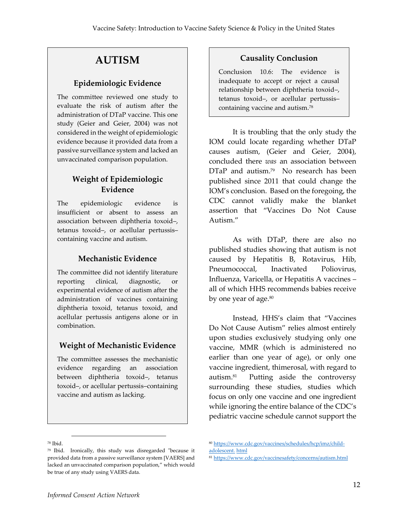# **AUTISM**

### **Epidemiologic Evidence**

The committee reviewed one study to evaluate the risk of autism after the administration of DTaP vaccine. This one study (Geier and Geier, 2004) was not considered in the weight of epidemiologic evidence because it provided data from a passive surveillance system and lacked an unvaccinated comparison population.

## **Weight of Epidemiologic Evidence**

The epidemiologic evidence is insufficient or absent to assess an association between diphtheria toxoid–, tetanus toxoid–, or acellular pertussis– containing vaccine and autism.

### **Mechanistic Evidence**

The committee did not identify literature reporting clinical, diagnostic, or experimental evidence of autism after the administration of vaccines containing diphtheria toxoid, tetanus toxoid, and acellular pertussis antigens alone or in combination.

### **Weight of Mechanistic Evidence**

The committee assesses the mechanistic evidence regarding an association between diphtheria toxoid–, tetanus toxoid–, or acellular pertussis–containing vaccine and autism as lacking.

### **Causality Conclusion**

Conclusion 10.6: The evidence is inadequate to accept or reject a causal relationship between diphtheria toxoid–, tetanus toxoid–, or acellular pertussis– containing vaccine and autism.<sup>78</sup>

It is troubling that the only study the IOM could locate regarding whether DTaP causes autism, (Geier and Geier, 2004), concluded there *was* an association between DTaP and autism.<sup>79</sup> No research has been published since 2011 that could change the IOM's conclusion. Based on the foregoing, the CDC cannot validly make the blanket assertion that "Vaccines Do Not Cause Autism."

As with DTaP, there are also no published studies showing that autism is not caused by Hepatitis B, Rotavirus, Hib, Pneumococcal, Inactivated Poliovirus, Influenza, Varicella, or Hepatitis A vaccines – all of which HHS recommends babies receive by one year of age.<sup>80</sup>

Instead, HHS's claim that "Vaccines Do Not Cause Autism" relies almost entirely upon studies exclusively studying only one vaccine, MMR (which is administered no earlier than one year of age), or only one vaccine ingredient, thimerosal, with regard to autism.<sup>81</sup> Putting aside the controversy surrounding these studies, studies which focus on only one vaccine and one ingredient while ignoring the entire balance of the CDC's pediatric vaccine schedule cannot support the

<sup>78</sup> Ibid.

<sup>79</sup> Ibid. Ironically, this study was disregarded "because it provided data from a passive surveillance system [VAERS] and lacked an unvaccinated comparison population," which would be true of any study using VAERS data.

<sup>80</sup> [https://www.cdc.gov/vaccines/schedules/hcp/imz/child](https://www.cdc.gov/vaccines/schedules/hcp/imz/child-adolescent.html)[adolescent.](https://www.cdc.gov/vaccines/schedules/hcp/imz/child-adolescent.html) html

<sup>81</sup> <https://www.cdc.gov/vaccinesafety/concerns/autism.html>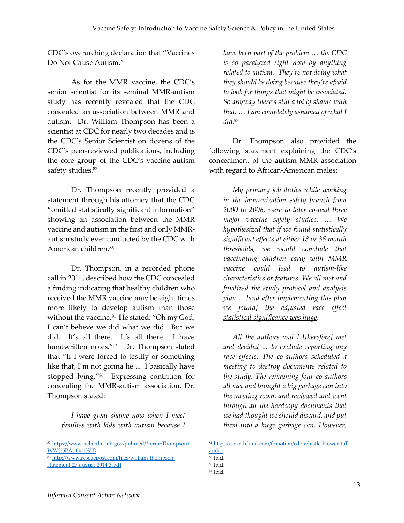CDC's overarching declaration that "Vaccines Do Not Cause Autism."

As for the MMR vaccine, the CDC's senior scientist for its seminal MMR-autism study has recently revealed that the CDC concealed an association between MMR and autism. Dr. William Thompson has been a scientist at CDC for nearly two decades and is the CDC's Senior Scientist on dozens of the CDC's peer-reviewed publications, including the core group of the CDC's vaccine-autism safety studies.<sup>82</sup>

Dr. Thompson recently provided a statement through his attorney that the CDC "omitted statistically significant information" showing an association between the MMR vaccine and autism in the first and only MMRautism study ever conducted by the CDC with American children. 83

Dr. Thompson, in a recorded phone call in 2014, described how the CDC concealed a finding indicating that healthy children who received the MMR vaccine may be eight times more likely to develop autism than those without the vaccine.<sup>84</sup> He stated: "Oh my God, I can't believe we did what we did. But we did. It's all there. It's all there. I have handwritten notes."<sup>85</sup> Dr. Thompson stated that "If I were forced to testify or something like that, I'm not gonna lie ... I basically have stopped lying."<sup>86</sup> Expressing contrition for concealing the MMR-autism association, Dr. Thompson stated:

*I have great shame now when I meet families with kids with autism because I* 

*have been part of the problem … the CDC is so paralyzed right now by anything related to autism. They're not doing what they should be doing because they're afraid to look for things that might be associated. So anyway there's still a lot of shame with that. … I am completely ashamed of what I did.*<sup>87</sup>

Dr. Thompson also provided the following statement explaining the CDC's concealment of the autism-MMR association with regard to African-American males:

*My primary job duties while working in the immunization safety branch from 2000 to 2006, were to later co-lead three major vaccine safety studies. … We hypothesized that if we found statistically significant effects at either 18 or 36 month thresholds, we would conclude that vaccinating children early with MMR vaccine could lead to autism-like characteristics or features. We all met and finalized the study protocol and analysis plan ... [and after implementing this plan we found] the adjusted race effect statistical significance was huge.*

*All the authors and I [therefore] met and decided ... to exclude reporting any race effects. The co-authors scheduled a meeting to destroy documents related to the study. The remaining four co-authors all met and brought a big garbage can into the meeting room, and reviewed and went through all the hardcopy documents that we had thought we should discard, and put them into a huge garbage can. However,* 

<sup>84</sup> [https://soundcloud.com/fomotion/cdc-whistle-blower-full](https://soundcloud.com/fomotion/cdc-whistle-blower-full-audio)[audio](https://soundcloud.com/fomotion/cdc-whistle-blower-full-audio)

<sup>82</sup> [https://www.ncbi.nlm.nih.gov/pubmed/?term=Thompson+](https://www.ncbi.nlm.nih.gov/pubmed/?term=Thompson+WW%5BAuthor%5D) [WW%5BAuthor%5D](https://www.ncbi.nlm.nih.gov/pubmed/?term=Thompson+WW%5BAuthor%5D)

<sup>83</sup> [http://www.rescuepost.com/files/william-thompson](http://www.rescuepost.com/files/william-thompson-statement-27-august-2014-3.pdf)[statement-27-august-2014-3.pdf](http://www.rescuepost.com/files/william-thompson-statement-27-august-2014-3.pdf)

<sup>85</sup> Ibid.

<sup>86</sup> Ibid. <sup>87</sup> Ibid.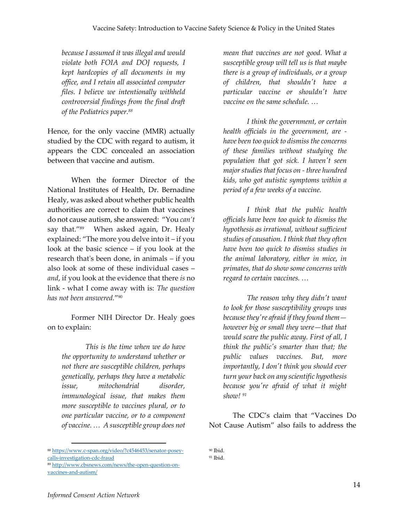*because I assumed it was illegal and would violate both FOIA and DOJ requests, I kept hardcopies of all documents in my office, and I retain all associated computer files. I believe we intentionally withheld controversial findings from the final draft of the Pediatrics paper.<sup>88</sup>* 

Hence, for the only vaccine (MMR) actually studied by the CDC with regard to autism, it appears the CDC concealed an association between that vaccine and autism.

When the former Director of the National Institutes of Health, Dr. Bernadine Healy, was asked about whether public health authorities are correct to claim that vaccines do not cause autism, she answered: "You *can't* say that."<sup>89</sup> When asked again, Dr. Healy explained: "The more you delve into it – if you look at the basic science – if you look at the research that's been done, in animals – if you also look at some of these individual cases – *and*, if you look at the evidence that there *is* no link - what I come away with is: *The question has not been answered.*" 90

Former NIH Director Dr. Healy goes on to explain:

*This is the time when we do have the opportunity to understand whether or not there are susceptible children, perhaps genetically, perhaps they have a metabolic issue, mitochondrial disorder, immunological issue, that makes them more susceptible to vaccines plural, or to one particular vaccine, or to a component of vaccine. … A susceptible group does not* 

*mean that vaccines are not good. What a susceptible group will tell us is that maybe there is a group of individuals, or a group of children, that shouldn't have a particular vaccine or shouldn't have vaccine on the same schedule. …*

*I think the government, or certain health officials in the government, are have been too quick to dismiss the concerns of these families without studying the population that got sick. I haven't seen major studies that focus on - three hundred kids, who got autistic symptoms within a period of a few weeks of a vaccine.* 

*I think that the public health officials have been too quick to dismiss the hypothesis as irrational, without sufficient studies of causation. I think that they often have been too quick to dismiss studies in the animal laboratory, either in mice, in primates, that do show some concerns with regard to certain vaccines. …*

*The reason why they didn't want to look for those susceptibility groups was because they're afraid if they found them however big or small they were—that that would scare the public away. First of all, I think the public's smarter than that; the public values vaccines. But, more importantly, I don't think you should ever turn your back on any scientific hypothesis because you're afraid of what it might show! 91*

The CDC's claim that "Vaccines Do Not Cause Autism" also fails to address the

<sup>90</sup> Ibid. <sup>91</sup> Ibid.

<sup>88</sup> [https://www.c-span.org/video/?c4546453/senator-posey](https://www.c-span.org/video/?c4546453/senator-posey-calls-investigation-cdc-fraud)[calls-investigation-cdc-fraud](https://www.c-span.org/video/?c4546453/senator-posey-calls-investigation-cdc-fraud)

<sup>89</sup> [http://www.cbsnews.com/news/the-open-question-on](http://www.cbsnews.com/news/the-open-question-on-vaccines-and-autism/)[vaccines-and-autism/](http://www.cbsnews.com/news/the-open-question-on-vaccines-and-autism/)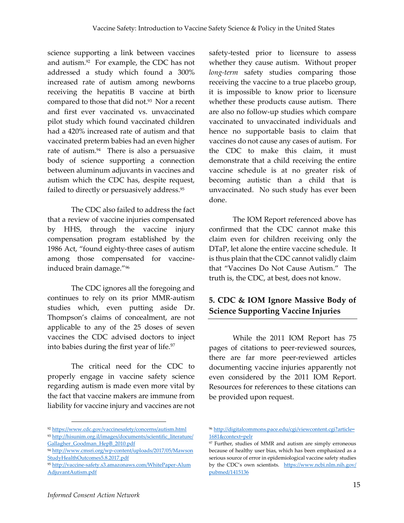science supporting a link between vaccines and autism.<sup>92</sup> For example, the CDC has not addressed a study which found a 300% increased rate of autism among newborns receiving the hepatitis B vaccine at birth compared to those that did not.<sup>93</sup> Nor a recent and first ever vaccinated vs. unvaccinated pilot study which found vaccinated children had a 420% increased rate of autism and that vaccinated preterm babies had an even higher rate of autism.<sup>94</sup> There is also a persuasive body of science supporting a connection between aluminum adjuvants in vaccines and autism which the CDC has, despite request, failed to directly or persuasively address. 95

The CDC also failed to address the fact that a review of vaccine injuries compensated by HHS, through the vaccine injury compensation program established by the 1986 Act, "found eighty-three cases of autism among those compensated for vaccineinduced brain damage."<sup>96</sup>

The CDC ignores all the foregoing and continues to rely on its prior MMR-autism studies which, even putting aside Dr. Thompson's claims of concealment, are not applicable to any of the 25 doses of seven vaccines the CDC advised doctors to inject into babies during the first year of life.<sup>97</sup>

The critical need for the CDC to properly engage in vaccine safety science regarding autism is made even more vital by the fact that vaccine makers are immune from liability for vaccine injury and vaccines are not safety-tested prior to licensure to assess whether they cause autism. Without proper *long-term* safety studies comparing those receiving the vaccine to a true placebo group, it is impossible to know prior to licensure whether these products cause autism. There are also no follow-up studies which compare vaccinated to unvaccinated individuals and hence no supportable basis to claim that vaccines do not cause any cases of autism. For the CDC to make this claim, it must demonstrate that a child receiving the entire vaccine schedule is at no greater risk of becoming autistic than a child that is unvaccinated. No such study has ever been done.

The IOM Report referenced above has confirmed that the CDC cannot make this claim even for children receiving only the DTaP, let alone the entire vaccine schedule. It is thus plain that the CDC cannot validly claim that "Vaccines Do Not Cause Autism." The truth is, the CDC, at best, does not know.

## **5. CDC & IOM Ignore Massive Body of Science Supporting Vaccine Injuries**

While the 2011 IOM Report has 75 pages of citations to peer-reviewed sources, there are far more peer-reviewed articles documenting vaccine injuries apparently not even considered by the 2011 IOM Report. Resources for references to these citations can be provided upon request.

<sup>92</sup> <https://www.cdc.gov/vaccinesafety/concerns/autism.html> 93 [http://hisunim.org.il/images/documents/scientific\\_literature/](http://hisunim.org.il/images/documents/scientific_literature/Gallagher_Goodman_HepB_2010.pdf) [Gallagher\\_Goodman\\_HepB\\_2010.pdf](http://hisunim.org.il/images/documents/scientific_literature/Gallagher_Goodman_HepB_2010.pdf)

<sup>94</sup> [http://www.cmsri.org/wp-content/uploads/2017/05/Mawson](http://www.cmsri.org/wp-content/uploads/2017/05/MawsonStudyHealthOutcomes5.8.2017.pdf) [StudyHealthOutcomes5.8.2017.pdf](http://www.cmsri.org/wp-content/uploads/2017/05/MawsonStudyHealthOutcomes5.8.2017.pdf)

<sup>95</sup> [http://vaccine-safety.s3.amazonaws.com/WhitePaper-Alum](http://vaccine-safety.s3.amazonaws.com/WhitePaper-AlumAdjuvantAutism.pdf) [AdjuvantAutism.pdf](http://vaccine-safety.s3.amazonaws.com/WhitePaper-AlumAdjuvantAutism.pdf)

<sup>96</sup> [http://digitalcommons.pace.edu/cgi/viewcontent.cgi?article=](http://digitalcommons.pace.edu/cgi/viewcontent.cgi?‌article=‌1681&‌context=pelr) [1681&context=pelr](http://digitalcommons.pace.edu/cgi/viewcontent.cgi?‌article=‌1681&‌context=pelr)

<sup>97</sup> Further, studies of MMR and autism are simply erroneous because of healthy user bias, which has been emphasized as a serious source of error in epidemiological vaccine safety studies by the CDC's own scientists. [https://www.ncbi.nlm.nih.gov/](https://www.ncbi.nlm.nih.gov/‌pubmed/‌1415136) [pubmed/1415136](https://www.ncbi.nlm.nih.gov/‌pubmed/‌1415136)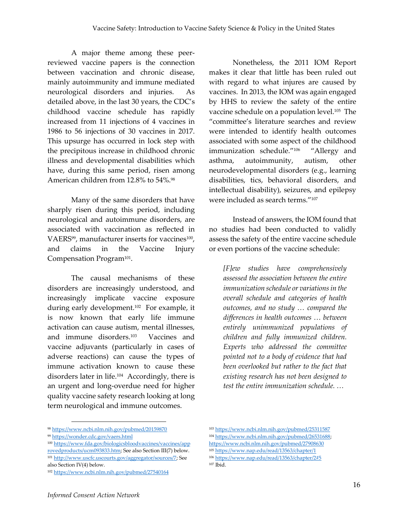A major theme among these peerreviewed vaccine papers is the connection between vaccination and chronic disease, mainly autoimmunity and immune mediated neurological disorders and injuries. As detailed above, in the last 30 years, the CDC's childhood vaccine schedule has rapidly increased from 11 injections of 4 vaccines in 1986 to 56 injections of 30 vaccines in 2017. This upsurge has occurred in lock step with the precipitous increase in childhood chronic illness and developmental disabilities which have, during this same period, risen among American children from 12.8% to 54%.<sup>98</sup>

Many of the same disorders that have sharply risen during this period, including neurological and autoimmune disorders, are associated with vaccination as reflected in VAERS<sup>99</sup>, manufacturer inserts for vaccines<sup>100</sup>, and claims in the Vaccine Injury Compensation Program<sup>101</sup> .

The causal mechanisms of these disorders are increasingly understood, and increasingly implicate vaccine exposure during early development.<sup>102</sup> For example, it is now known that early life immune activation can cause autism, mental illnesses, and immune disorders.<sup>103</sup> Vaccines and vaccine adjuvants (particularly in cases of adverse reactions) can cause the types of immune activation known to cause these disorders later in life.<sup>104</sup> Accordingly, there is an urgent and long-overdue need for higher quality vaccine safety research looking at long term neurological and immune outcomes.

Nonetheless, the 2011 IOM Report makes it clear that little has been ruled out with regard to what injures are caused by vaccines. In 2013, the IOM was again engaged by HHS to review the safety of the entire vaccine schedule on a population level. 105 The "committee's literature searches and review were intended to identify health outcomes associated with some aspect of the childhood immunization schedule."<sup>106</sup> "Allergy and asthma, autoimmunity, autism, other neurodevelopmental disorders (e.g., learning disabilities, tics, behavioral disorders, and intellectual disability), seizures, and epilepsy were included as search terms."<sup>107</sup>

Instead of answers, the IOM found that no studies had been conducted to validly assess the safety of the entire vaccine schedule or even portions of the vaccine schedule:

*[F]ew studies have comprehensively assessed the association between the entire immunization schedule or variations in the overall schedule and categories of health outcomes, and no study … compared the differences in health outcomes … between entirely unimmunized populations of children and fully immunized children. Experts who addressed the committee pointed not to a body of evidence that had been overlooked but rather to the fact that existing research has not been designed to test the entire immunization schedule. …* 

<sup>98</sup> <https://www.ncbi.nlm.nih.gov/pubmed/20159870>

<sup>99</sup> <https://wonder.cdc.gov/vaers.html>

<sup>100</sup> [https://www.fda.gov/biologicsbloodvaccines/vaccines/app](https://www.fda.gov/biologicsbloodvaccines/vaccines/approvedproducts/ucm093833.htm) [rovedproducts/ucm093833.htm;](https://www.fda.gov/biologicsbloodvaccines/vaccines/approvedproducts/ucm093833.htm) See also Section III(7) below. <sup>101</sup> [http://www.uscfc.uscourts.gov/aggregator/sources/7;](http://www.uscfc.uscourts.gov/aggregator/sources/7) See also Section IV(4) below.

<sup>102</sup> <https://www.ncbi.nlm.nih.gov/pubmed/27540164>

<sup>103</sup> <https://www.ncbi.nlm.nih.gov/pubmed/25311587> <sup>104</sup> [https://www.ncbi.nlm.nih.gov/pubmed/26531688;](https://www.ncbi.nlm.nih.gov/pubmed/26531688)  <https://www.ncbi.nlm.nih.gov/pubmed/27908630>

<sup>105</sup> <https://www.nap.edu/read/13563/chapter/1>

<sup>106</sup> <https://www.nap.edu/read/13563/chapter/2#5> <sup>107</sup> Ibid.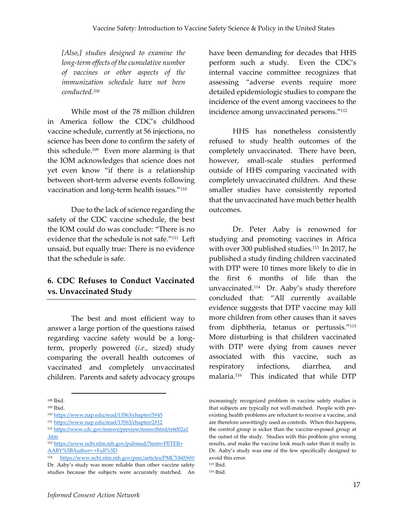*[Also,] studies designed to examine the long-term effects of the cumulative number of vaccines or other aspects of the immunization schedule have not been conducted.<sup>108</sup>*

While most of the 78 million children in America follow the CDC's childhood vaccine schedule, currently at 56 injections, no science has been done to confirm the safety of this schedule. 109 Even more alarming is that the IOM acknowledges that science does not yet even know "if there is a relationship between short-term adverse events following vaccination and long-term health issues."<sup>110</sup>

Due to the lack of science regarding the safety of the CDC vaccine schedule, the best the IOM could do was conclude: "There is no evidence that the schedule is not safe."<sup>111</sup> Left unsaid, but equally true: There is no evidence that the schedule is safe.

### **6. CDC Refuses to Conduct Vaccinated vs. Unvaccinated Study**

The best and most efficient way to answer a large portion of the questions raised regarding vaccine safety would be a longterm, properly powered (*i.e.,* sized) study comparing the overall health outcomes of vaccinated and completely unvaccinated children. Parents and safety advocacy groups

 $\overline{a}$ 

have been demanding for decades that HHS perform such a study. Even the CDC's internal vaccine committee recognizes that assessing "adverse events require more detailed epidemiologic studies to compare the incidence of the event among vaccinees to the incidence among unvaccinated persons."<sup>112</sup>

HHS has nonetheless consistently refused to study health outcomes of the completely unvaccinated. There have been, however, small-scale studies performed outside of HHS comparing vaccinated with completely unvaccinated children. And these smaller studies have consistently reported that the unvaccinated have much better health outcomes.

Dr. Peter Aaby is renowned for studying and promoting vaccines in Africa with over 300 published studies.<sup>113</sup> In 2017, he published a study finding children vaccinated with DTP were 10 times more likely to die in the first 6 months of life than the unvaccinated. 114 Dr. Aaby's study therefore concluded that: "All currently available evidence suggests that DTP vaccine may kill more children from other causes than it saves from diphtheria, tetanus or pertussis."<sup>115</sup> More disturbing is that children vaccinated with DTP were dying from causes never associated with this vaccine, such as respiratory infections, diarrhea, and malaria.<sup>116</sup> This indicated that while DTP

<sup>108</sup> Ibid.

<sup>109</sup> Ibid.

<sup>110</sup> <https://www.nap.edu/read/13563/chapter/5#45>

<sup>111</sup> <https://www.nap.edu/read/13563/chapter/2#12>

<sup>112</sup> [https://www.cdc.gov/mmwr/preview/mmwrhtml/rr6002a1](https://www.cdc.gov/mmwr/preview/mmwrhtml/rr6002a1.htm) [.htm](https://www.cdc.gov/mmwr/preview/mmwrhtml/rr6002a1.htm)

<sup>113</sup> [https://www.ncbi.nlm.nih.gov/pubmed/?term=PETER+](https://www.ncbi.nlm.nih.gov/pubmed/?term=PETER+AABY%5BAuthor+-+Full%5D) [AABY%5BAuthor+-+Full%5D](https://www.ncbi.nlm.nih.gov/pubmed/?term=PETER+AABY%5BAuthor+-+Full%5D)

<sup>114</sup> <https://www.ncbi.nlm.nih.gov/pmc/articles/PMC5360569/> Dr. Aaby's study was more reliable than other vaccine safety studies because the subjects were accurately matched. An

increasingly recognized problem in vaccine safety studies is that subjects are typically not well-matched. People with preexisting health problems are reluctant to receive a vaccine, and are therefore unwittingly used as controls. When this happens, the control group is sicker than the vaccine-exposed group at the outset of the study. Studies with this problem give wrong results, and make the vaccine look much safer than it really is. Dr. Aaby's study was one of the few specifically designed to avoid this error.

<sup>115</sup> Ibid.

<sup>116</sup> Ibid.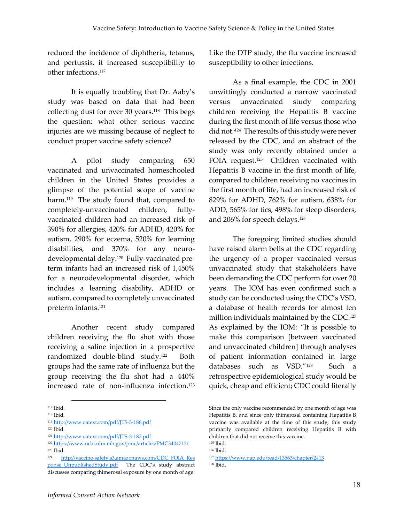reduced the incidence of diphtheria, tetanus, and pertussis, it increased susceptibility to other infections.<sup>117</sup>

It is equally troubling that Dr. Aaby's study was based on data that had been collecting dust for over 30 years. <sup>118</sup> This begs the question: what other serious vaccine injuries are we missing because of neglect to conduct proper vaccine safety science?

A pilot study comparing 650 vaccinated and unvaccinated homeschooled children in the United States provides a glimpse of the potential scope of vaccine harm. <sup>119</sup> The study found that, compared to completely-unvaccinated children, fullyvaccinated children had an increased risk of 390% for allergies, 420% for ADHD, 420% for autism, 290% for eczema, 520% for learning disabilities, and 370% for any neurodevelopmental delay.<sup>120</sup> Fully-vaccinated preterm infants had an increased risk of 1,450% for a neurodevelopmental disorder, which includes a learning disability, ADHD or autism, compared to completely unvaccinated preterm infants. 121

Another recent study compared children receiving the flu shot with those receiving a saline injection in a prospective randomized double-blind study.<sup>122</sup> Both groups had the same rate of influenza but the group receiving the flu shot had a 440% increased rate of non-influenza infection.<sup>123</sup>

 $\overline{a}$ 

Like the DTP study, the flu vaccine increased susceptibility to other infections.

As a final example, the CDC in 2001 unwittingly conducted a narrow vaccinated versus unvaccinated study comparing children receiving the Hepatitis B vaccine during the first month of life versus those who did not. <sup>124</sup> The results of this study were never released by the CDC, and an abstract of the study was only recently obtained under a FOIA request.<sup>125</sup> Children vaccinated with Hepatitis B vaccine in the first month of life, compared to children receiving no vaccines in the first month of life, had an increased risk of 829% for ADHD, 762% for autism, 638% for ADD, 565% for tics, 498% for sleep disorders, and 206% for speech delays.<sup>126</sup>

The foregoing limited studies should have raised alarm bells at the CDC regarding the urgency of a proper vaccinated versus unvaccinated study that stakeholders have been demanding the CDC perform for over 20 years. The IOM has even confirmed such a study can be conducted using the CDC's VSD, a database of health records for almost ten million individuals maintained by the CDC.<sup>127</sup> As explained by the IOM: "It is possible to make this comparison [between vaccinated and unvaccinated children] through analyses of patient information contained in large databases such as VSD."<sup>128</sup> Such a retrospective epidemiological study would be quick, cheap and efficient; CDC could literally

<sup>117</sup> Ibid.

<sup>118</sup> Ibid.

<sup>119</sup> <http://www.oatext.com/pdf/JTS-3-186.pdf>

<sup>120</sup> Ibid.

<sup>121</sup> <http://www.oatext.com/pdf/JTS-3-187.pdf>

<sup>122</sup> <https://www.ncbi.nlm.nih.gov/pmc/articles/PMC3404712/>

<sup>123</sup> Ibid.

<sup>124</sup> [http://vaccine-safety.s3.amazonaws.com/CDC\\_FOIA\\_Res](http://vaccine-safety.s3.amazonaws.com/CDC_FOIA_Response_UnpublishedStudy.pdf) ponse UnpublishedStudy.pdf The CDC's study abstract discusses comparing thimerosal exposure by one month of age.

Since the only vaccine recommended by one month of age was Hepatitis B, and since only thimerosal containing Hepatitis B vaccine was available at the time of this study, this study primarily compared children receiving Hepatitis B with children that did not receive this vaccine. <sup>125</sup> Ibid.

<sup>126</sup> Ibid.

<sup>127</sup> <https://www.nap.edu/read/13563/chapter/2#13>

<sup>128</sup> Ibid.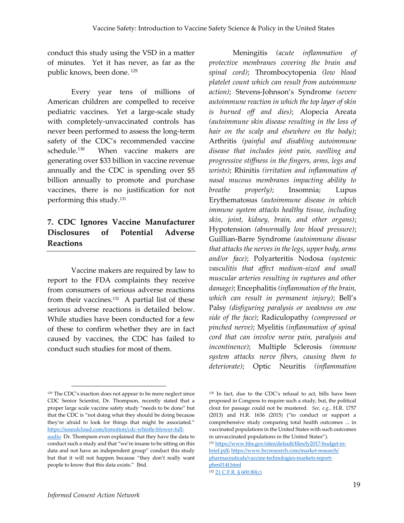conduct this study using the VSD in a matter of minutes. Yet it has never, as far as the public knows, been done. <sup>129</sup>

Every year tens of millions of American children are compelled to receive pediatric vaccines. Yet a large-scale study with completely-unvaccinated controls has never been performed to assess the long-term safety of the CDC's recommended vaccine schedule. 130 When vaccine makers are generating over \$33 billion in vaccine revenue annually and the CDC is spending over \$5 billion annually to promote and purchase vaccines, there is no justification for not performing this study.<sup>131</sup>

## **7. CDC Ignores Vaccine Manufacturer Disclosures of Potential Adverse Reactions**

Vaccine makers are required by law to report to the FDA complaints they receive from consumers of serious adverse reactions from their vaccines.<sup>132</sup> A partial list of these serious adverse reactions is detailed below. While studies have been conducted for a few of these to confirm whether they are in fact caused by vaccines, the CDC has failed to conduct such studies for most of them.

Meningitis *(acute inflammation of protective membranes covering the brain and spinal cord)*; Thrombocytopenia *(low blood platelet count which can result from autoimmune action)*; Stevens-Johnson's Syndrome *(severe autoimmune reaction in which the top layer of skin is burned off and dies)*; Alopecia Areata *(autoimmune skin disease resulting in the loss of hair on the scalp and elsewhere on the body)*; Arthritis *(painful and disabling autoimmune disease that includes joint pain, swelling and progressive stiffness in the fingers, arms, legs and wrists)*; Rhinitis *(irritation and inflammation of nasal mucous membranes impacting ability to breathe properly)*; Insomnia; Lupus Erythematosus *(autoimmune disease in which immune system attacks healthy tissue, including skin, joint, kidney, brain, and other organs)*; Hypotension *(abnormally low blood pressure)*; Guillian-Barre Syndrome *(autoimmune disease that attacks the nerves in the legs, upper body, arms and/or face)*; Polyarteritis Nodosa *(systemic vasculitis that affect medium-sized and small muscular arteries resulting in ruptures and other damage)*; Encephalitis *(inflammation of the brain, which can result in permanent injury)*; Bell's Palsy *(disfiguring paralysis or weakness on one side of the face)*; Radiculopathy *(compressed or pinched nerve)*; Myelitis *(inflammation of spinal cord that can involve nerve pain, paralysis and incontinence)*; Multiple Sclerosis *(immune system attacks nerve fibers, causing them to deteriorate)*; Optic Neuritis *(inflammation* 

[brief.pdf;](https://www.hhs.gov/sites/default/files/fy2017-budget-in-brief.pdf) [https://www.bccresearch.com/market-research/](https://www.bccresearch.com/market-research/pharmaceuticals/vaccine-technologies-markets-report-phm014f.html) [pharmaceuticals/vaccine-technologies-markets-report](https://www.bccresearch.com/market-research/pharmaceuticals/vaccine-technologies-markets-report-phm014f.html)[phm014f.html](https://www.bccresearch.com/market-research/pharmaceuticals/vaccine-technologies-markets-report-phm014f.html)

<sup>129</sup> The CDC's inaction does not appear to be mere neglect since CDC Senior Scientist, Dr. Thompson, recently stated that a proper large scale vaccine safety study "needs to be done" but that the CDC is "not doing what they should be doing because they're afraid to look for things that might be associated." [https://soundcloud.com/fomotion/cdc-whistle-blower-full-](https://soundcloud.com/fomotion/cdc-whistle-blower-full-audio)

[audio](https://soundcloud.com/fomotion/cdc-whistle-blower-full-audio) Dr. Thompson even explained that they have the data to conduct such a study and that "we're insane to be sitting on this data and not have an independent group" conduct this study but that it will not happen because "they don't really want people to know that this data exists." Ibid.

<sup>130</sup> In fact, due to the CDC's refusal to act, bills have been proposed in Congress to require such a study, but, the political clout for passage could not be mustered. *See, e.g.,* H.R. 1757 (2013) and H.R. 1636 (2015) ("to conduct or support a comprehensive study comparing total health outcomes ... in vaccinated populations in the United States with such outcomes in unvaccinated populations in the United States"). <sup>131</sup> [https://www.hhs.gov/sites/default/files/fy2017-budget-in-](https://www.hhs.gov/sites/default/files/fy2017-budget-in-brief.pdf)

<sup>132</sup> [21 C.F.R. § 600.80\(c\)](https://www.accessdata.fda.gov/scripts/cdrh/cfdocs/cfcfr/CFRSearch.cfm?fr=600.80)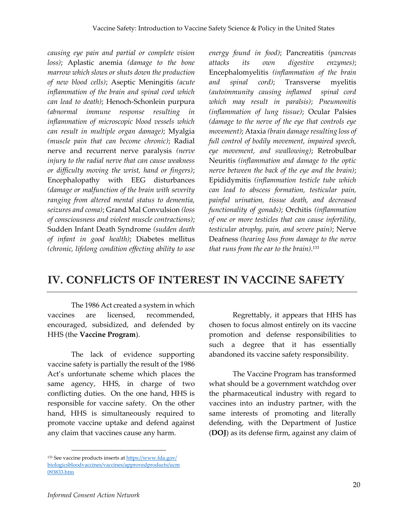*causing eye pain and partial or complete vision loss)*; Aplastic anemia *(damage to the bone marrow which slows or shuts down the production of new blood cells)*; Aseptic Meningitis *(acute inflammation of the brain and spinal cord which can lead to death)*; Henoch-Schonlein purpura *(abnormal immune response resulting in inflammation of microscopic blood vessels which can result in multiple organ damage)*; Myalgia *(muscle pain that can become chronic)*; Radial nerve and recurrent nerve paralysis *(nerve injury to the radial nerve that can cause weakness or difficulty moving the wrist, hand or fingers)*; Encephalopathy with EEG disturbances *(damage or malfunction of the brain with severity ranging from altered mental status to dementia, seizures and coma)*; Grand Mal Convulsion *(loss of consciousness and violent muscle contractions)*; Sudden Infant Death Syndrome *(sudden death of infant in good health)*; Diabetes mellitus *(chronic, lifelong condition effecting ability to use*  *energy found in food)*; Pancreatitis *(pancreas attacks its own digestive enzymes)*; Encephalomyelitis *(inflammation of the brain and spinal cord)*; Transverse myelitis *(autoimmunity causing inflamed spinal cord which may result in paralsis)*; *Pneumonitis (inflammation of lung tissue)*; Ocular Palsies *(damage to the nerve of the eye that controls eye movement)*; Ataxia *(brain damage resulting loss of full control of bodily movement, impaired speech, eye movement, and swallowing)*; Retrobulbar Neuritis *(inflammation and damage to the optic nerve between the back of the eye and the brain)*; Epididymitis *(inflammation testicle tube which can lead to abscess formation, testicular pain, painful urination, tissue death, and decreased functionality of gonads)*; Orchitis *(inflammation of one or more testicles that can cause infertility, testicular atrophy, pain, and severe pain)*; Nerve Deafness *(hearing loss from damage to the nerve that runs from the ear to the brain)*. 133

# **IV. CONFLICTS OF INTEREST IN VACCINE SAFETY**

The 1986 Act created a system in which vaccines are licensed, recommended, encouraged, subsidized, and defended by HHS (the **Vaccine Program**).

The lack of evidence supporting vaccine safety is partially the result of the 1986 Act's unfortunate scheme which places the same agency, HHS, in charge of two conflicting duties. On the one hand, HHS is responsible for vaccine safety. On the other hand, HHS is simultaneously required to promote vaccine uptake and defend against any claim that vaccines cause any harm.

Regrettably, it appears that HHS has chosen to focus almost entirely on its vaccine promotion and defense responsibilities to such a degree that it has essentially abandoned its vaccine safety responsibility.

The Vaccine Program has transformed what should be a government watchdog over the pharmaceutical industry with regard to vaccines into an industry partner, with the same interests of promoting and literally defending, with the Department of Justice (**DOJ**) as its defense firm, against any claim of

<sup>133</sup> See vaccine products inserts a[t https://www.fda.gov/](https://www.fda.gov/biologicsbloodvaccines/vaccines/approvedproducts/ucm093833.htm) [biologicsbloodvaccines/vaccines/approvedproducts/ucm](https://www.fda.gov/biologicsbloodvaccines/vaccines/approvedproducts/ucm093833.htm) [093833.htm](https://www.fda.gov/biologicsbloodvaccines/vaccines/approvedproducts/ucm093833.htm)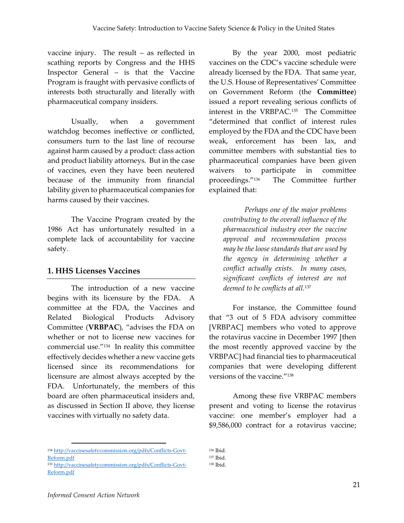vaccine injury. The result – as reflected in scathing reports by Congress and the HHS Inspector General – is that the Vaccine Program is fraught with pervasive conflicts of interests both structurally and literally with pharmaceutical company insiders.

Usually, when a government watchdog becomes ineffective or conflicted, consumers turn to the last line of recourse against harm caused by a product: class action and product liability attorneys. But in the case of vaccines, even they have been neutered because of the immunity from financial lability given to pharmaceutical companies for harms caused by their vaccines.

The Vaccine Program created by the 1986 Act has unfortunately resulted in a complete lack of accountability for vaccine safety.

#### **1. HHS Licenses Vaccines**

The introduction of a new vaccine begins with its licensure by the FDA. A committee at the FDA, the Vaccines and Related Biological Products Advisory Committee (**VRBPAC**), "advises the FDA on whether or not to license new vaccines for commercial use."<sup>134</sup> In reality this committee effectively decides whether a new vaccine gets licensed since its recommendations for licensure are almost always accepted by the FDA. Unfortunately, the members of this board are often pharmaceutical insiders and, as discussed in Section II above, they license vaccines with virtually no safety data.

By the year 2000, most pediatric vaccines on the CDC's vaccine schedule were already licensed by the FDA. That same year, the U.S. House of Representatives' Committee on Government Reform (the **Committee**) issued a report revealing serious conflicts of interest in the VRBPAC. 135 The Committee "determined that conflict of interest rules employed by the FDA and the CDC have been weak, enforcement has been lax, and committee members with substantial ties to pharmaceutical companies have been given waivers to participate in committee proceedings."<sup>136</sup> The Committee further explained that:

*Perhaps one of the major problems contributing to the overall influence of the pharmaceutical industry over the vaccine approval and recommendation process may be the loose standards that are used by the agency in determining whether a conflict actually exists. In many cases, significant conflicts of interest are not deemed to be conflicts at all.*<sup>137</sup>

For instance, the Committee found that "3 out of 5 FDA advisory committee [VRBPAC] members who voted to approve the rotavirus vaccine in December 1997 [then the most recently approved vaccine by the VRBPAC] had financial ties to pharmaceutical companies that were developing different versions of the vaccine."<sup>138</sup>

Among these five VRBPAC members present and voting to license the rotavirus vaccine: one member's employer had a \$9,586,000 contract for a rotavirus vaccine;

<sup>134</sup> [http://vaccinesafetycommission.org/pdfs/Conflicts-Govt-](http://vaccinesafetycommission.org/pdfs/Conflicts-Govt-Reform.pdf)[Reform.pdf](http://vaccinesafetycommission.org/pdfs/Conflicts-Govt-Reform.pdf)

<sup>135</sup> [http://vaccinesafetycommission.org/pdfs/Conflicts-Govt-](http://vaccinesafetycommission.org/pdfs/Conflicts-Govt-Reform.pdf)[Reform.pdf](http://vaccinesafetycommission.org/pdfs/Conflicts-Govt-Reform.pdf)

<sup>136</sup> Ibid.

<sup>137</sup> Ibid. <sup>138</sup> Ibid.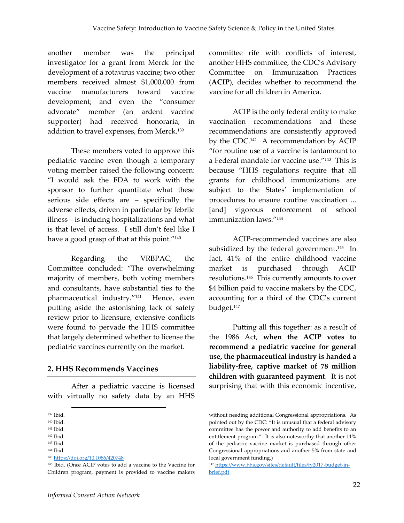another member was the principal investigator for a grant from Merck for the development of a rotavirus vaccine; two other members received almost \$1,000,000 from vaccine manufacturers toward vaccine development; and even the "consumer advocate" member (an ardent vaccine supporter) had received honoraria, in addition to travel expenses, from Merck.<sup>139</sup>

These members voted to approve this pediatric vaccine even though a temporary voting member raised the following concern: "I would ask the FDA to work with the sponsor to further quantitate what these serious side effects are – specifically the adverse effects, driven in particular by febrile illness – is inducing hospitalizations and what is that level of access. I still don't feel like I have a good grasp of that at this point."<sup>140</sup>

Regarding the VRBPAC, the Committee concluded: "The overwhelming majority of members, both voting members and consultants, have substantial ties to the pharmaceutical industry."<sup>141</sup> Hence, even putting aside the astonishing lack of safety review prior to licensure, extensive conflicts were found to pervade the HHS committee that largely determined whether to license the pediatric vaccines currently on the market.

#### **2. HHS Recommends Vaccines**

After a pediatric vaccine is licensed with virtually no safety data by an HHS

1

committee rife with conflicts of interest, another HHS committee, the CDC's Advisory Committee on Immunization Practices (**ACIP**), decides whether to recommend the vaccine for all children in America.

ACIP is the only federal entity to make vaccination recommendations and these recommendations are consistently approved by the CDC.<sup>142</sup> A recommendation by ACIP "for routine use of a vaccine is tantamount to a Federal mandate for vaccine use."<sup>143</sup> This is because "HHS regulations require that all grants for childhood immunizations are subject to the States' implementation of procedures to ensure routine vaccination ... [and] vigorous enforcement of school immunization laws." 144

ACIP-recommended vaccines are also subsidized by the federal government. <sup>145</sup> In fact, 41% of the entire childhood vaccine market is purchased through ACIP resolutions. 146 This currently amounts to over \$4 billion paid to vaccine makers by the CDC, accounting for a third of the CDC's current budget.<sup>147</sup>

Putting all this together: as a result of the 1986 Act, **when the ACIP votes to recommend a pediatric vaccine for general use, the pharmaceutical industry is handed a liability-free, captive market of 78 million children with guaranteed payment**. It is not surprising that with this economic incentive,

<sup>139</sup> Ibid.

<sup>140</sup> Ibid.

<sup>141</sup> Ibid.

<sup>142</sup> Ibid.

<sup>143</sup> Ibid.

<sup>144</sup> Ibid.

<sup>145</sup> <https://doi.org/10.1086/420748>

<sup>146</sup> Ibid. (Once ACIP votes to add a vaccine to the Vaccine for Children program, payment is provided to vaccine makers

without needing additional Congressional appropriations. As pointed out by the CDC: "It is unusual that a federal advisory committee has the power and authority to add benefits to an entitlement program." It is also noteworthy that another 11% of the pediatric vaccine market is purchased through other Congressional appropriations and another 5% from state and local government funding.)

<sup>147</sup> [https://www.hhs.gov/sites/default/files/fy2017-budget-in](https://www.hhs.gov/sites/default/files/fy2017-budget-in-brief.pdf)[brief.pdf](https://www.hhs.gov/sites/default/files/fy2017-budget-in-brief.pdf)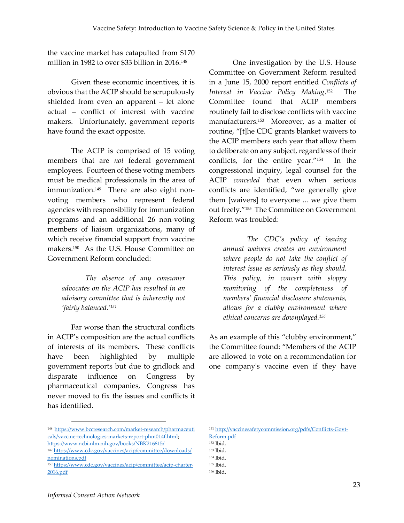the vaccine market has catapulted from \$170 million in 1982 to over \$33 billion in 2016. 148

Given these economic incentives, it is obvious that the ACIP should be scrupulously shielded from even an apparent – let alone actual – conflict of interest with vaccine makers. Unfortunately, government reports have found the exact opposite.

The ACIP is comprised of 15 voting members that are *not* federal government employees. Fourteen of these voting members must be medical professionals in the area of immunization.<sup>149</sup> There are also eight nonvoting members who represent federal agencies with responsibility for immunization programs and an additional 26 non-voting members of liaison organizations, many of which receive financial support from vaccine makers. 150 As the U.S. House Committee on Government Reform concluded:

*The absence of any consumer advocates on the ACIP has resulted in an advisory committee that is inherently not 'fairly balanced.'<sup>151</sup>*

Far worse than the structural conflicts in ACIP's composition are the actual conflicts of interests of its members. These conflicts have been highlighted by multiple government reports but due to gridlock and disparate influence on Congress by pharmaceutical companies, Congress has never moved to fix the issues and conflicts it has identified.

<sup>148</sup> [https://www.bccresearch.com/market-research/pharmaceuti](https://www.bccresearch.com/market-research/pharmaceuticals/vaccine-technologies-markets-report-phm014f.html) [cals/vaccine-technologies-markets-report-phm014f.html;](https://www.bccresearch.com/market-research/pharmaceuticals/vaccine-technologies-markets-report-phm014f.html)  <https://www.ncbi.nlm.nih.gov/books/NBK216815/>

One investigation by the U.S. House Committee on Government Reform resulted in a June 15, 2000 report entitled *Conflicts of Interest in Vaccine Policy Making*. 152 The Committee found that ACIP members routinely fail to disclose conflicts with vaccine manufacturers.<sup>153</sup> Moreover, as a matter of routine, "[t]he CDC grants blanket waivers to the ACIP members each year that allow them to deliberate on any subject, regardless of their conflicts, for the entire year."<sup>154</sup> In the congressional inquiry, legal counsel for the ACIP *conceded* that even when serious conflicts are identified, "we generally give them [waivers] to everyone ... we give them out freely."<sup>155</sup> The Committee on Government Reform was troubled:

*The CDC's policy of issuing annual waivers creates an environment where people do not take the conflict of interest issue as seriously as they should. This policy, in concert with sloppy monitoring of the completeness of members' financial disclosure statements, allows for a clubby environment where ethical concerns are downplayed.<sup>156</sup>*

As an example of this "clubby environment," the Committee found: "Members of the ACIP are allowed to vote on a recommendation for one company's vaccine even if they have

<sup>149</sup> [https://www.cdc.gov/vaccines/acip/committee/downloads/](https://www.cdc.gov/vaccines/acip/committee/downloads/nominations.pdf) [nominations.pdf](https://www.cdc.gov/vaccines/acip/committee/downloads/nominations.pdf)

<sup>150</sup> [https://www.cdc.gov/vaccines/acip/committee/acip-charter-](https://www.cdc.gov/vaccines/acip/committee/acip-charter-2016.pdf)[2016.pdf](https://www.cdc.gov/vaccines/acip/committee/acip-charter-2016.pdf)

<sup>151</sup> [http://vaccinesafetycommission.org/pdfs/Conflicts-Govt-](http://vaccinesafetycommission.org/pdfs/Conflicts-Govt-Reform.pdf)[Reform.pdf](http://vaccinesafetycommission.org/pdfs/Conflicts-Govt-Reform.pdf)

<sup>152</sup> Ibid.

<sup>153</sup> Ibid.

<sup>154</sup> Ibid.

<sup>155</sup> Ibid.

<sup>156</sup> Ibid.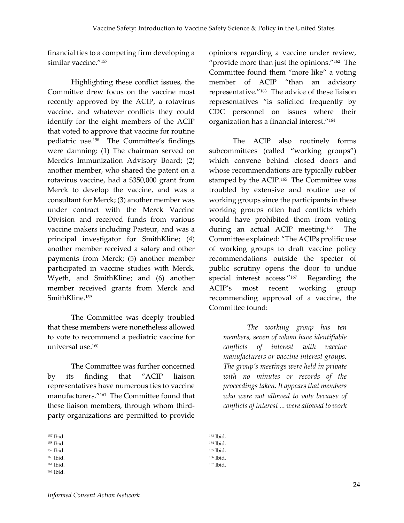financial ties to a competing firm developing a similar vaccine."<sup>157</sup>

Highlighting these conflict issues, the Committee drew focus on the vaccine most recently approved by the ACIP, a rotavirus vaccine, and whatever conflicts they could identify for the eight members of the ACIP that voted to approve that vaccine for routine pediatric use.<sup>158</sup> The Committee's findings were damning: (1) The chairman served on Merck's Immunization Advisory Board; (2) another member, who shared the patent on a rotavirus vaccine, had a \$350,000 grant from Merck to develop the vaccine, and was a consultant for Merck; (3) another member was under contract with the Merck Vaccine Division and received funds from various vaccine makers including Pasteur, and was a principal investigator for SmithKline; (4) another member received a salary and other payments from Merck; (5) another member participated in vaccine studies with Merck, Wyeth, and SmithKline; and (6) another member received grants from Merck and SmithKline.<sup>159</sup>

The Committee was deeply troubled that these members were nonetheless allowed to vote to recommend a pediatric vaccine for universal use. 160

The Committee was further concerned by its finding that "ACIP liaison representatives have numerous ties to vaccine manufacturers."<sup>161</sup> The Committee found that these liaison members, through whom thirdparty organizations are permitted to provide

 $\overline{a}$ 

opinions regarding a vaccine under review, "provide more than just the opinions."<sup>162</sup> The Committee found them "more like" a voting member of ACIP "than an advisory representative."<sup>163</sup> The advice of these liaison representatives "is solicited frequently by CDC personnel on issues where their organization has a financial interest."<sup>164</sup>

The ACIP also routinely forms subcommittees (called "working groups") which convene behind closed doors and whose recommendations are typically rubber stamped by the ACIP.<sup>165</sup> The Committee was troubled by extensive and routine use of working groups since the participants in these working groups often had conflicts which would have prohibited them from voting during an actual ACIP meeting.<sup>166</sup> The Committee explained: "The ACIPs prolific use of working groups to draft vaccine policy recommendations outside the specter of public scrutiny opens the door to undue special interest access."<sup>167</sup> Regarding the ACIP's most recent working group recommending approval of a vaccine, the Committee found:

*The working group has ten members, seven of whom have identifiable conflicts of interest with vaccine manufacturers or vaccine interest groups. The group's meetings were held in private with no minutes or records of the proceedings taken. It appears that members who were not allowed to vote because of conflicts of interest ... were allowed to work* 

<sup>157</sup> Ibid.

<sup>158</sup> Ibid. <sup>159</sup> Ibid.

<sup>160</sup> Ibid.

<sup>161</sup> Ibid.

<sup>162</sup> Ibid.

<sup>163</sup> Ibid. <sup>164</sup> Ibid.

<sup>165</sup> Ibid.

<sup>166</sup> Ibid.

<sup>167</sup> Ibid.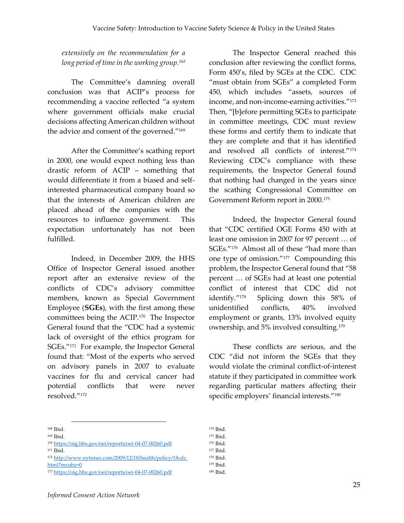*extensively on the recommendation for a long period of time in the working group.<sup>168</sup>*

The Committee's damning overall conclusion was that ACIP's process for recommending a vaccine reflected "a system where government officials make crucial decisions affecting American children without the advice and consent of the governed."<sup>169</sup>

After the Committee's scathing report in 2000, one would expect nothing less than drastic reform of ACIP – something that would differentiate it from a biased and selfinterested pharmaceutical company board so that the interests of American children are placed ahead of the companies with the resources to influence government. This expectation unfortunately has not been fulfilled.

Indeed, in December 2009, the HHS Office of Inspector General issued another report after an extensive review of the conflicts of CDC's advisory committee members, known as Special Government Employee (**SGEs**), with the first among these committees being the ACIP.<sup>170</sup> The Inspector General found that the "CDC had a systemic lack of oversight of the ethics program for SGEs." 171 For example, the Inspector General found that: "Most of the experts who served on advisory panels in 2007 to evaluate vaccines for flu and cervical cancer had potential conflicts that were never resolved."<sup>172</sup>

The Inspector General reached this conclusion after reviewing the conflict forms, Form 450's, filed by SGEs at the CDC. CDC "must obtain from SGEs" a completed Form 450, which includes "assets, sources of income, and non-income-earning activities."<sup>173</sup> Then, "[b]efore permitting SGEs to participate in committee meetings, CDC must review these forms and certify them to indicate that they are complete and that it has identified and resolved all conflicts of interest."<sup>174</sup> Reviewing CDC's compliance with these requirements, the Inspector General found that nothing had changed in the years since the scathing Congressional Committee on Government Reform report in 2000. 175

Indeed, the Inspector General found that "CDC certified OGE Forms 450 with at least one omission in 2007 for 97 percent … of SGEs."<sup>176</sup> Almost all of these "had more than one type of omission."<sup>177</sup> Compounding this problem, the Inspector General found that "58 percent … of SGEs had at least one potential conflict of interest that CDC did not identify."<sup>178</sup> Splicing down this 58% of unidentified conflicts, 40% involved employment or grants, 13% involved equity ownership, and 5% involved consulting.<sup>179</sup>

These conflicts are serious, and the CDC "did not inform the SGEs that they would violate the criminal conflict-of-interest statute if they participated in committee work regarding particular matters affecting their specific employers' financial interests."<sup>180</sup>

 $\overline{a}$ 

<sup>174</sup> Ibid.

<sup>179</sup> Ibid. <sup>180</sup> Ibid.

<sup>168</sup> Ibid.

<sup>169</sup> Ibid.

<sup>170</sup> <https://oig.hhs.gov/oei/reports/oei-04-07-00260.pdf>

<sup>171</sup> Ibid.

<sup>172</sup> [http://www.nytimes.com/2009/12/18/health/policy/18cdc.](http://www.nytimes.com/2009/12/18/health/policy/18cdc.html?‌mcubz=0)

[html?mcubz=0](http://www.nytimes.com/2009/12/18/health/policy/18cdc.html?‌mcubz=0)

<sup>173</sup> <https://oig.hhs.gov/oei/reports/oei-04-07-00260.pdf>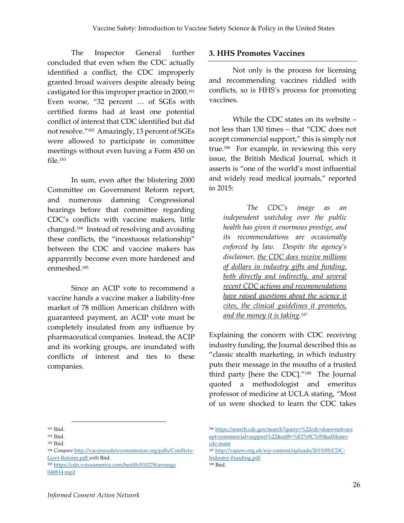The Inspector General further concluded that even when the CDC actually identified a conflict, the CDC improperly granted broad waivers despite already being castigated for this improper practice in 2000.<sup>181</sup> Even worse, "32 percent … of SGEs with certified forms had at least one potential conflict of interest that CDC identified but did not resolve."<sup>182</sup> Amazingly, 13 percent of SGEs were allowed to participate in committee meetings without even having a Form 450 on file.<sup>183</sup>

In sum, even after the blistering 2000 Committee on Government Reform report, and numerous damning Congressional hearings before that committee regarding CDC's conflicts with vaccine makers, little changed.<sup>184</sup> Instead of resolving and avoiding these conflicts, the "incestuous relationship" between the CDC and vaccine makers has apparently become even more hardened and enmeshed. 185

Since an ACIP vote to recommend a vaccine hands a vaccine maker a liability-free market of 78 million American children with guaranteed payment, an ACIP vote must be completely insulated from any influence by pharmaceutical companies. Instead, the ACIP and its working groups, are inundated with conflicts of interest and ties to these companies.

#### **3. HHS Promotes Vaccines**

Not only is the process for licensing and recommending vaccines riddled with conflicts, so is HHS's process for promoting vaccines.

While the CDC states on its website – not less than 130 times – that "CDC does not accept commercial support," this is simply not true. 186 For example, in reviewing this very issue, the British Medical Journal, which it asserts is "one of the world's most influential and widely read medical journals," reported in 2015:

*The CDC's image as an independent watchdog over the public health has given it enormous prestige, and its recommendations are occasionally enforced by law. Despite the agency's disclaimer, the CDC does receive millions of dollars in industry gifts and funding, both directly and indirectly, and several recent CDC actions and recommendations have raised questions about the science it cites, the clinical guidelines it promotes, and the money it is taking. 187*

Explaining the concern with CDC receiving industry funding, the Journal described this as "classic stealth marketing, in which industry puts their message in the mouths of a trusted third party [here the CDC]."<sup>188</sup> The Journal quoted a methodologist and emeritus professor of medicine at UCLA stating, "Most of us were shocked to learn the CDC takes

 $\overline{a}$ 

<sup>188</sup> Ibid.

<sup>181</sup> Ibid.

<sup>182</sup> Ibid.

<sup>183</sup> Ibid.

<sup>184</sup> *Compare* [http://vaccinesafetycommission.org/pdfs/Conflicts-](http://vaccinesafetycommission.org/pdfs/Conflicts-Govt-Reform.pdf)[Govt-Reform.pdf](http://vaccinesafetycommission.org/pdfs/Conflicts-Govt-Reform.pdf) *with* Ibid.

<sup>185</sup> [https://cdn.voiceamerica.com/health/010278/arranga](https://cdn.voiceamerica.com/health/010278/arranga040814.mp3) [040814.mp3](https://cdn.voiceamerica.com/health/010278/arranga040814.mp3)

<sup>186</sup> [https://search.cdc.gov/search?query=%22cdc+does+not+acc](https://search.cdc.gov/search?query=%22cdc+does+not+accept+commercial+support%22&utf8=%E2%9C%93&affiliate=cdc-main) [ept+commercial+support%22&utf8=%E2%9C%93&affiliate=](https://search.cdc.gov/search?query=%22cdc+does+not+accept+commercial+support%22&utf8=%E2%9C%93&affiliate=cdc-main) [cdc-main](https://search.cdc.gov/search?query=%22cdc+does+not+accept+commercial+support%22&utf8=%E2%9C%93&affiliate=cdc-main)

<sup>187</sup> [http://vapers.org.uk/wp-content/uploads/2015/05/CDC-](http://vapers.org.uk/wp-content/uploads/2015/05/CDC-Industry-Funding.pdf)[Industry-Funding.pdf](http://vapers.org.uk/wp-content/uploads/2015/05/CDC-Industry-Funding.pdf)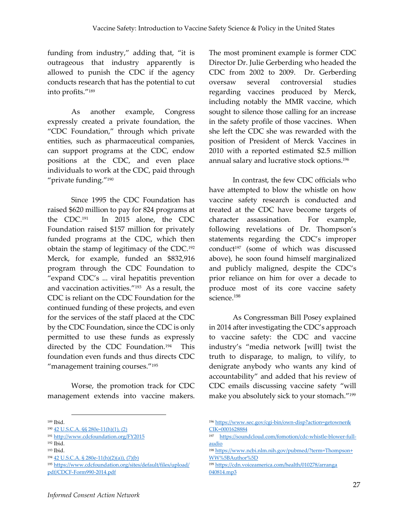funding from industry," adding that, "it is outrageous that industry apparently is allowed to punish the CDC if the agency conducts research that has the potential to cut into profits."<sup>189</sup>

As another example, Congress expressly created a private foundation, the "CDC Foundation," through which private entities, such as pharmaceutical companies, can support programs at the CDC, endow positions at the CDC, and even place individuals to work at the CDC, paid through "private funding." 190

Since 1995 the CDC Foundation has raised \$620 million to pay for 824 programs at the CDC.<sup>191</sup> In 2015 alone, the CDC Foundation raised \$157 million for privately funded programs at the CDC, which then obtain the stamp of legitimacy of the CDC.<sup>192</sup> Merck, for example, funded an \$832,916 program through the CDC Foundation to "expand CDC's ... viral hepatitis prevention and vaccination activities."<sup>193</sup> As a result, the CDC is reliant on the CDC Foundation for the continued funding of these projects, and even for the services of the staff placed at the CDC by the CDC Foundation, since the CDC is only permitted to use these funds as expressly directed by the CDC Foundation.<sup>194</sup> This foundation even funds and thus directs CDC "management training courses."<sup>195</sup>

Worse, the promotion track for CDC management extends into vaccine makers.

1

The most prominent example is former CDC Director Dr. Julie Gerberding who headed the CDC from 2002 to 2009. Dr. Gerberding oversaw several controversial studies regarding vaccines produced by Merck, including notably the MMR vaccine, which sought to silence those calling for an increase in the safety profile of those vaccines. When she left the CDC she was rewarded with the position of President of Merck Vaccines in 2010 with a reported estimated \$2.5 million annual salary and lucrative stock options. 196

In contrast, the few CDC officials who have attempted to blow the whistle on how vaccine safety research is conducted and treated at the CDC have become targets of character assassination. For example, following revelations of Dr. Thompson's statements regarding the CDC's improper conduct<sup>197</sup> (some of which was discussed above), he soon found himself marginalized and publicly maligned, despite the CDC's prior reliance on him for over a decade to produce most of its core vaccine safety science. 198

As Congressman Bill Posey explained in 2014 after investigating the CDC's approach to vaccine safety: the CDC and vaccine industry's "media network [will] twist the truth to disparage, to malign, to vilify, to denigrate anybody who wants any kind of accountability" and added that his review of CDC emails discussing vaccine safety "will make you absolutely sick to your stomach."<sup>199</sup>

<sup>189</sup> Ibid.

<sup>190</sup> [42 U.S.C.A. §§ 280e-11\(h\)\(1\), \(2\)](https://www.law.cornell.edu/uscode/text/42/280e%E2%80%9311)

<sup>191</sup> <http://www.cdcfoundation.org/FY2015>

<sup>192</sup> Ibid.

<sup>193</sup> Ibid.

<sup>194</sup> [42 U.S.C.A. § 280e-11\(h\)\(2\)\(a\)\), \(7\)\(b\)](https://www.law.cornell.edu/uscode/text/42/280e%E2%80%9311)

<sup>195</sup> [https://www.cdcfoundation.org/sites/default/files/upload/](https://www.cdcfoundation.org/sites/default/files/upload/pdf/CDCF-Form990-2014.pdf) [pdf/CDCF-Form990-2014.pdf](https://www.cdcfoundation.org/sites/default/files/upload/pdf/CDCF-Form990-2014.pdf)

<sup>196</sup> [https://www.sec.gov/cgi-bin/own-disp?action=getowner&](https://www.sec.gov/cgi-bin/own-disp?action=getowner&CIK=0001628884) [CIK=0001628884](https://www.sec.gov/cgi-bin/own-disp?action=getowner&CIK=0001628884)

<sup>197</sup> [https://soundcloud.com/fomotion/cdc-whistle-blower-full](https://soundcloud.com/fomotion/cdc-whistle-blower-full-audio)[audio](https://soundcloud.com/fomotion/cdc-whistle-blower-full-audio)

<sup>198</sup> [https://www.ncbi.nlm.nih.gov/pubmed/?term=Thompson+](https://www.ncbi.nlm.nih.gov/pubmed/?term=Thompson+WW%5BAuthor%5D) [WW%5BAuthor%5D](https://www.ncbi.nlm.nih.gov/pubmed/?term=Thompson+WW%5BAuthor%5D)

<sup>199</sup> [https://cdn.voiceamerica.com/health/010278/arranga](https://cdn.voiceamerica.com/health/010278/arranga040814.mp3) [040814.mp3](https://cdn.voiceamerica.com/health/010278/arranga040814.mp3)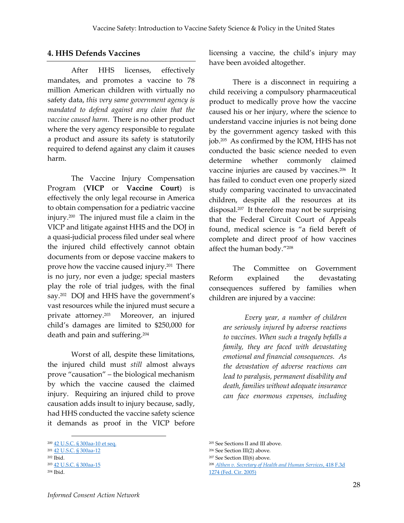#### **4. HHS Defends Vaccines**

After HHS licenses, effectively mandates, and promotes a vaccine to 78 million American children with virtually no safety data, *this very same government agency is mandated to defend against any claim that the vaccine caused harm*. There is no other product where the very agency responsible to regulate a product and assure its safety is statutorily required to defend against any claim it causes harm.

The Vaccine Injury Compensation Program (**VICP** or **Vaccine Court**) is effectively the only legal recourse in America to obtain compensation for a pediatric vaccine injury.<sup>200</sup> The injured must file a claim in the VICP and litigate against HHS and the DOJ in a quasi-judicial process filed under seal where the injured child effectively cannot obtain documents from or depose vaccine makers to prove how the vaccine caused injury. <sup>201</sup> There is no jury, nor even a judge; special masters play the role of trial judges, with the final say.<sup>202</sup> DOJ and HHS have the government's vast resources while the injured must secure a private attorney. Moreover, an injured child's damages are limited to \$250,000 for death and pain and suffering.<sup>204</sup>

Worst of all, despite these limitations, the injured child must *still* almost always prove "causation" – the biological mechanism by which the vaccine caused the claimed injury. Requiring an injured child to prove causation adds insult to injury because, sadly, had HHS conducted the vaccine safety science it demands as proof in the VICP before

1

licensing a vaccine, the child's injury may have been avoided altogether.

There is a disconnect in requiring a child receiving a compulsory pharmaceutical product to medically prove how the vaccine caused his or her injury, where the science to understand vaccine injuries is not being done by the government agency tasked with this job. <sup>205</sup> As confirmed by the IOM, HHS has not conducted the basic science needed to even determine whether commonly claimed vaccine injuries are caused by vaccines.<sup>206</sup> It has failed to conduct even one properly sized study comparing vaccinated to unvaccinated children, despite all the resources at its disposal.<sup>207</sup> It therefore may not be surprising that the Federal Circuit Court of Appeals found, medical science is "a field bereft of complete and direct proof of how vaccines affect the human body."<sup>208</sup>

The Committee on Government Reform explained the devastating consequences suffered by families when children are injured by a vaccine:

*Every year, a number of children are seriously injured by adverse reactions to vaccines. When such a tragedy befalls a family, they are faced with devastating emotional and financial consequences. As the devastation of adverse reactions can lead to paralysis, permanent disability and death, families without adequate insurance can face enormous expenses, including* 

<sup>200</sup> [42 U.S.C. § 300aa-10 et seq.](https://www.law.cornell.edu/uscode/text/42/chapter-6A/subchapter-XIX/part-2)

<sup>201</sup> [42 U.S.C. § 300aa-12](https://www.law.cornell.edu/uscode/text/42/300aa%E2%80%9312)

<sup>202</sup> Ibid. <sup>203</sup> [42 U.S.C. § 300aa-15](https://www.law.cornell.edu/uscode/text/42/300aa%E2%80%9315)

<sup>204</sup> Ibid.

<sup>205</sup> See Sections II and III above.

<sup>206</sup> See Section III(2) above.

<sup>207</sup> See Section III(6) above.

<sup>208</sup> *[Althen v. Secretary of Health and Human Services](http://law.justia.com/cases/federal/appellate-courts/F3/418/1274/544510/)*, 418 F.3d [1274 \(Fed. Cir. 2005\)](http://law.justia.com/cases/federal/appellate-courts/F3/418/1274/544510/)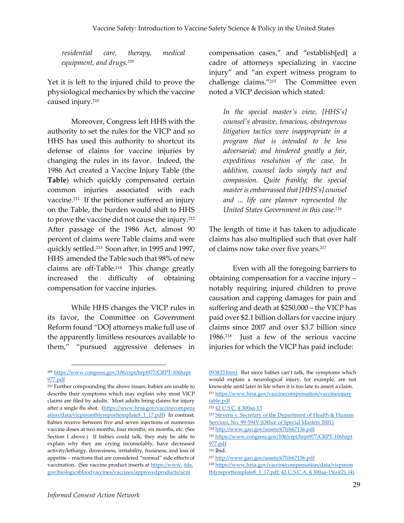*residential care, therapy, medical equipment, and drugs.<sup>209</sup>*

Yet it is left to the injured child to prove the physiological mechanics by which the vaccine caused injury.<sup>210</sup>

Moreover, Congress left HHS with the authority to set the rules for the VICP and so HHS has used this authority to shortcut its defense of claims for vaccine injuries by changing the rules in its favor. Indeed, the 1986 Act created a Vaccine Injury Table (the **Table**) which quickly compensated certain common injuries associated with each vaccine.<sup>211</sup> If the petitioner suffered an injury on the Table, the burden would shift to HHS to prove the vaccine did not cause the injury.<sup>212</sup> After passage of the 1986 Act, almost 90 percent of claims were Table claims and were quickly settled. 213 Soon after, in 1995 and 1997, HHS amended the Table such that 98% of new claims are off-Table.<sup>214</sup> This change greatly increased the difficulty of obtaining compensation for vaccine injuries.

While HHS changes the VICP rules in its favor, the Committee on Government Reform found "DOJ attorneys make full use of the apparently limitless resources available to them," "pursued aggressive defenses in

compensation cases," and "establish[ed] a cadre of attorneys specializing in vaccine injury" and "an expert witness program to challenge claims."<sup>215</sup> The Committee even noted a VICP decision which stated:

*In the special master's view, [HHS's] counsel's abrasive, tenacious, obstreperous litigation tactics were inappropriate in a program that is intended to be less adversarial; and hindered greatly a fair, expeditious resolution of the case. In addition, counsel lacks simply tact and compassion. Quite frankly; the special master is embarrassed that [HHS's] counsel and ... life care planner represented the United States Government in this case.<sup>216</sup>*

The length of time it has taken to adjudicate claims has also multiplied such that over half of claims now take over five years. 217

Even with all the foregoing barriers to obtaining compensation for a vaccine injury – notably requiring injured children to prove causation and capping damages for pain and suffering and death at \$250,000 – the VICP has paid over \$2.1 billion dollars for vaccine injury claims since 2007 and over \$3.7 billion since 1986. 218 Just a few of the serious vaccine injuries for which the VICP has paid include:

<sup>209</sup> [https://www.congress.gov/106/crpt/hrpt977/CRPT-106hrpt](https://www.congress.gov/106/crpt/hrpt977/CRPT-106hrpt977.pdf) [977.pdf](https://www.congress.gov/106/crpt/hrpt977/CRPT-106hrpt977.pdf)

<sup>210</sup> Further compounding the above issues, babies are unable to describe their symptoms which may explain why most VICP claims are filed by adults. Most adults bring claims for injury after a single flu shot. [\(https://www.hrsa.gov/vaccinecompens](https://www.hrsa.gov/vaccinecompensation/data/vicpmonthlyreporttemplate8_1_17.pdf) [ation/data/vicpmonthlyreporttemplate8\\_1\\_17.pdf\)](https://www.hrsa.gov/vaccinecompensation/data/vicpmonthlyreporttemplate8_1_17.pdf) In contrast, babies receive between five and seven injections of numerous vaccine doses at two months, four months, six months, etc. (See Section I above.) If babies could talk, they may be able to explain why they are crying inconsolably, have decreased activity/lethargy, drowsiness, irritability, fussiness, and loss of appetite – reactions that are considered "normal" side effects of vaccination. (See vaccine product inserts a[t https://www.](https://www.fda.gov/biologicsbloodvaccines/vaccines/approvedproducts/ucm093833.htm) fda. [gov/biologicsbloodvaccines/vaccines/approvedproducts/ucm](https://www.fda.gov/biologicsbloodvaccines/vaccines/approvedproducts/ucm093833.htm)

[<sup>093833.</sup>htm\)](https://www.fda.gov/biologicsbloodvaccines/vaccines/approvedproducts/ucm093833.htm) But since babies can't talk, the symptoms which would explain a neurological injury, for example, are not knowable until later in life when it is too late to assert a claim. <sup>211</sup> [https://www.hrsa.gov/vaccinecompensation/vaccineinjury](https://www.hrsa.gov/vaccinecompensation/vaccineinjurytable.pdf) [table.pdf](https://www.hrsa.gov/vaccinecompensation/vaccineinjurytable.pdf)

<sup>212</sup> [42 U.S.C. § 300aa-13](https://www.law.cornell.edu/uscode/text/42/300aa-13)

<sup>213</sup> Stevens v. Secretary of the Department of Health & Human [Services, No. 99-594V \(Office of Special Masters 2001\)](http://www.uscfc.uscourts.gov/sites/default/files/opinions/Stevens.pdf)

<sup>214</sup> <http://www.gao.gov/assets/670/667136.pdf>

<sup>215</sup> [https://www.congress.gov/106/crpt/hrpt977/CRPT-106hrpt](https://www.congress.gov/106/crpt/hrpt977/CRPT-106hrpt977.pdf) [977.pdf](https://www.congress.gov/106/crpt/hrpt977/CRPT-106hrpt977.pdf)

<sup>216</sup> Ibid.

<sup>217</sup> <http://www.gao.gov/assets/670/667136.pdf>

<sup>218</sup> [https://www.hrsa.gov/vaccinecompensation/data/vicpmon](https://www.hrsa.gov/vaccinecompensation/data/vicpmonthlyreporttemplate8_1_17.pdf) [thlyreporttemplate8\\_1\\_17.pdf;](https://www.hrsa.gov/vaccinecompensation/data/vicpmonthlyreporttemplate8_1_17.pdf)  $42$  U.S.C.A. § 300aa-15(a)(2), (4)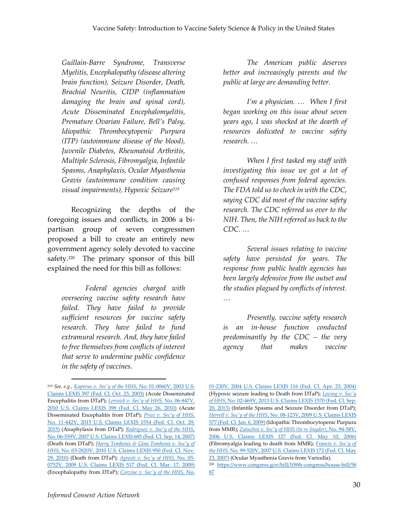*Guillain-Barre Syndrome, Transverse Myelitis, Encephalopathy (disease altering brain function), Seizure Disorder, Death, Brachial Neuritis, CIDP (inflammation damaging the brain and spinal cord), Acute Disseminated Encephalomyelitis, Premature Ovarian Failure, Bell's Palsy, Idiopathic Thrombocytopenic Purpura (ITP) (autoimmune disease of the blood), Juvenile Diabetes, Rheumatoid Arthritis, Multiple Sclerosis, Fibromyalgia, Infantile Spasms, Anaphylaxis, Ocular Myasthenia Gravis (autoimmune condition causing visual impairments), Hypoxic Seizure<sup>219</sup>*

Recognizing the depths of the foregoing issues and conflicts, in 2006 a bipartisan group of seven congressmen proposed a bill to create an entirely new government agency solely devoted to vaccine safety.<sup>220</sup> The primary sponsor of this bill explained the need for this bill as follows:

*Federal agencies charged with overseeing vaccine safety research have failed. They have failed to provide sufficient resources for vaccine safety research. They have failed to fund extramural research. And, they have failed to free themselves from conflicts of interest that serve to undermine public confidence in the safety of vaccines.* 

*The American public deserves better and increasingly parents and the public at large are demanding better.* 

*I'm a physician. … When I first began working on this issue about seven years ago, I was shocked at the dearth of resources dedicated to vaccine safety research. …*

*When I first tasked my staff with investigating this issue we got a lot of confused responses from federal agencies. The FDA told us to check in with the CDC, saying CDC did most of the vaccine safety research. The CDC referred us over to the NIH. Then, the NIH referred us back to the CDC. …*

*Several issues relating to vaccine safety have persisted for years. The response from public health agencies has been largely defensive from the outset and the studies plagued by conflicts of interest. …*

*Presently, vaccine safety research is an in-house function conducted predominantly by the CDC – the very agency that makes vaccine* 

<sup>219</sup> *See, e.g., [Kuperus v. Sec'y of the HHS](http://www.uscfc.uscourts.gov/sites/default/files/opinions/ABELL.Kuperus.pdf)*, No. 01-0060V, 2003 U.S. [Claims LEXIS 397 \(Fed. Cl. Oct. 23, 2003\)](http://www.uscfc.uscourts.gov/sites/default/files/opinions/ABELL.Kuperus.pdf) (Acute Disseminated Encephalitis from DTaP); *[Lerwick v. Sec'y of HHS](http://www.uscfc.uscourts.gov/sites/default/files/opinions/Moran%20-%20Lerwick%2005%2026%202010.pdf)*, No. 06-847V, [2010 U.S. Claims LEXIS 398 \(Fed. Cl. May 26, 2010\)](http://www.uscfc.uscourts.gov/sites/default/files/opinions/Moran%20-%20Lerwick%2005%2026%202010.pdf) (Acute Disseminated Encephalitis from DTaP); *[Price v. Sec'y of HHS](https://ecf.cofc.uscourts.gov/cgi-bin/show_public_doc?2011vv0442-94-0)*, [No. 11-442V, 2015 U.S. Claims LEXIS 1554 \(Fed. Cl. Oct. 29,](https://ecf.cofc.uscourts.gov/cgi-bin/show_public_doc?2011vv0442-94-0)  [2015\)](https://ecf.cofc.uscourts.gov/cgi-bin/show_public_doc?2011vv0442-94-0) (Anaphylaxis from DTaP); *[Rodriguez v. Sec'y of the HHS](http://www.uscfc.uscourts.gov/sites/default/files/opinions/Vowell.Rodriguez.091407.pdf)*, [No. 06-559V, 2007 U.S. Claims LEXIS 685 \(Fed. Cl. Sep. 14, 2007\)](http://www.uscfc.uscourts.gov/sites/default/files/opinions/Vowell.Rodriguez.091407.pdf) (Death from DTaP); *[Harry Tembenis & Gina Tembenis v. Sec'y of](http://www.uscfc.uscourts.gov/sites/default/files/opinions/LORD.TEMBENIS112910.pdf)  HHS*[, No. 03-2820V, 2010 U.S. Claims LEXIS 950 \(Fed. Cl. Nov.](http://www.uscfc.uscourts.gov/sites/default/files/opinions/LORD.TEMBENIS112910.pdf)  [29, 2010\)](http://www.uscfc.uscourts.gov/sites/default/files/opinions/LORD.TEMBENIS112910.pdf) (Death from DTaP); *[Agresti v. Sec'y of HHS](http://www.uscfc.uscourts.gov/sites/default/files/opinions/Golkiewicz.Agresti.pdf)*, No. 05- [0752V, 2009 U.S. Claims LEXIS 517 \(Fed. Cl. Mar. 17, 2009\)](http://www.uscfc.uscourts.gov/sites/default/files/opinions/Golkiewicz.Agresti.pdf) (Encephalopathy from DTaP); *[Corzine v. Sec'y of the HHS](http://www.uscfc.uscourts.gov/sites/default/files/opinions/FRENCH.Corzine.pdf)*, No.

[<sup>01-230</sup>V, 2004 U.S. Claims LEXIS 116 \(Fed. Cl. Apr. 23, 2004\)](http://www.uscfc.uscourts.gov/sites/default/files/opinions/FRENCH.Corzine.pdf) (Hypoxic seizure leading to Death from DTaP); *[Loving v. Sec'y](http://www.uscfc.uscourts.gov/sites/default/files/opinions/MORAN.LOVING092013.pdf)  of HHS*[, No. 02-469V, 2013 U.S. Claims LEXIS 1570 \(Fed. Cl. Sep.](http://www.uscfc.uscourts.gov/sites/default/files/opinions/MORAN.LOVING092013.pdf)  [20, 2013\)](http://www.uscfc.uscourts.gov/sites/default/files/opinions/MORAN.LOVING092013.pdf) (Infantile Spasms and Seizure Disorder from DTaP); *Herrell v. Sec'y of the HHS*[, No. 08-123V, 2009 U.S. Claims LEXIS](http://www.uscfc.uscourts.gov/sites/default/files/opinions/herrell%20damages%20decision.pdf)  [577 \(Fed. Cl. Jan. 6, 2009\)](http://www.uscfc.uscourts.gov/sites/default/files/opinions/herrell%20damages%20decision.pdf) (Idopathic Thrombocytopenic Purpura from MMR); *[Zatuchni v. Sec'y of HHS \(In re Snyder\)](http://www.uscfc.uscourts.gov/sites/default/files/opinions/hastings.Synder-Remand-correction.pdf)*, No. 94-58V, [2006 U.S. Claims LEXIS 127 \(Fed. Cl. May 10, 2006\)](http://www.uscfc.uscourts.gov/sites/default/files/opinions/hastings.Synder-Remand-correction.pdf) (Fibromyalgia leading to death from MMR); *[Francis v. Sec'y of](http://www.uscfc.uscourts.gov/sites/default/files/opinions/CAMPBELL-SMITH.Francis052307.pdf)  the HHS*[, No. 99-520V, 2007 U.S. Claims LEXIS 172 \(Fed. Cl. May](http://www.uscfc.uscourts.gov/sites/default/files/opinions/CAMPBELL-SMITH.Francis052307.pdf)  [23, 2007\)](http://www.uscfc.uscourts.gov/sites/default/files/opinions/CAMPBELL-SMITH.Francis052307.pdf) (Ocular Myasthenia Gravis from Varicella). <sup>220</sup> [https://www.congress.gov/bill/109th-congress/house-bill/58](https://www.congress.gov/bill/109th-congress/house-bill/5887) [87](https://www.congress.gov/bill/109th-congress/house-bill/5887)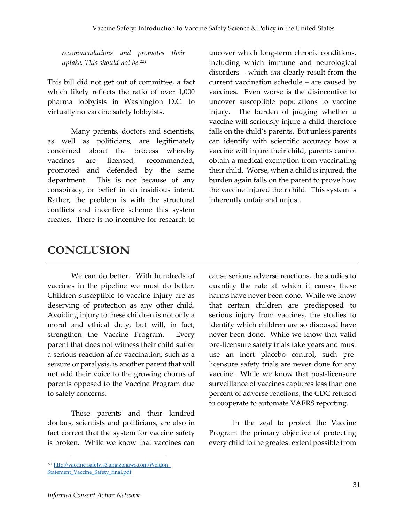*recommendations and promotes their uptake. This should not be.<sup>221</sup>*

This bill did not get out of committee, a fact which likely reflects the ratio of over 1,000 pharma lobbyists in Washington D.C. to virtually no vaccine safety lobbyists.

Many parents, doctors and scientists, as well as politicians, are legitimately concerned about the process whereby vaccines are licensed, recommended, promoted and defended by the same department. This is not because of any conspiracy, or belief in an insidious intent. Rather, the problem is with the structural conflicts and incentive scheme this system creates. There is no incentive for research to

uncover which long-term chronic conditions, including which immune and neurological disorders – which *can* clearly result from the current vaccination schedule – are caused by vaccines. Even worse is the disincentive to uncover susceptible populations to vaccine injury. The burden of judging whether a vaccine will seriously injure a child therefore falls on the child's parents. But unless parents can identify with scientific accuracy how a vaccine will injure their child, parents cannot obtain a medical exemption from vaccinating their child. Worse, when a child is injured, the burden again falls on the parent to prove how the vaccine injured their child. This system is inherently unfair and unjust.

# **CONCLUSION**

We can do better. With hundreds of vaccines in the pipeline we must do better. Children susceptible to vaccine injury are as deserving of protection as any other child. Avoiding injury to these children is not only a moral and ethical duty, but will, in fact, strengthen the Vaccine Program. Every parent that does not witness their child suffer a serious reaction after vaccination, such as a seizure or paralysis, is another parent that will not add their voice to the growing chorus of parents opposed to the Vaccine Program due to safety concerns.

These parents and their kindred doctors, scientists and politicians, are also in fact correct that the system for vaccine safety is broken. While we know that vaccines can cause serious adverse reactions, the studies to quantify the rate at which it causes these harms have never been done. While we know that certain children are predisposed to serious injury from vaccines, the studies to identify which children are so disposed have never been done. While we know that valid pre-licensure safety trials take years and must use an inert placebo control, such prelicensure safety trials are never done for any vaccine. While we know that post-licensure surveillance of vaccines captures less than one percent of adverse reactions, the CDC refused to cooperate to automate VAERS reporting.

In the zeal to protect the Vaccine Program the primary objective of protecting every child to the greatest extent possible from

<sup>221</sup> [http://vaccine-safety.s3.amazonaws.com/Weldon\\_](http://vaccine-safety.s3.amazonaws.com/Weldon_Statement_Vaccine_Safety_final.pdf) [Statement\\_Vaccine\\_Safety\\_final.pdf](http://vaccine-safety.s3.amazonaws.com/Weldon_Statement_Vaccine_Safety_final.pdf)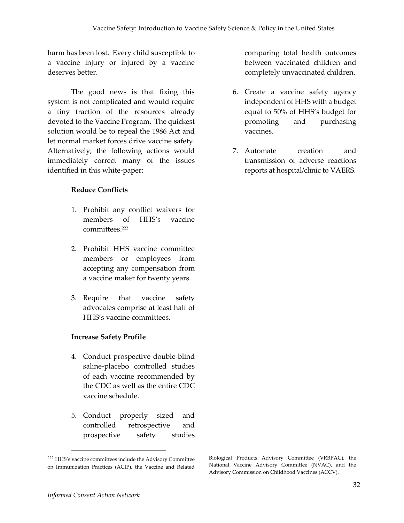harm has been lost. Every child susceptible to a vaccine injury or injured by a vaccine deserves better.

The good news is that fixing this system is not complicated and would require a tiny fraction of the resources already devoted to the Vaccine Program. The quickest solution would be to repeal the 1986 Act and let normal market forces drive vaccine safety. Alternatively, the following actions would immediately correct many of the issues identified in this white-paper:

#### **Reduce Conflicts**

- 1. Prohibit any conflict waivers for members of HHS's vaccine committees. 222
- 2. Prohibit HHS vaccine committee members or employees from accepting any compensation from a vaccine maker for twenty years.
- 3. Require that vaccine safety advocates comprise at least half of HHS's vaccine committees.

#### **Increase Safety Profile**

- 4. Conduct prospective double-blind saline-placebo controlled studies of each vaccine recommended by the CDC as well as the entire CDC vaccine schedule.
- 5. Conduct properly sized and controlled retrospective and prospective safety studies

comparing total health outcomes between vaccinated children and completely unvaccinated children.

- 6. Create a vaccine safety agency independent of HHS with a budget equal to 50% of HHS's budget for promoting and purchasing vaccines.
- 7. Automate creation and transmission of adverse reactions reports at hospital/clinic to VAERS.

<sup>222</sup> HHS's vaccine committees include the Advisory Committee on Immunization Practices (ACIP), the Vaccine and Related

Biological Products Advisory Committee (VRBPAC), the National Vaccine Advisory Committee (NVAC), and the Advisory Commission on Childhood Vaccines (ACCV).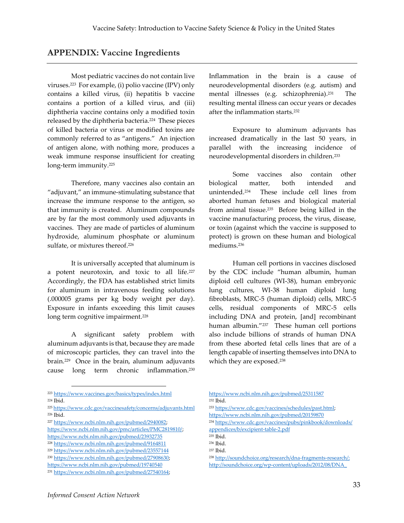#### **APPENDIX: Vaccine Ingredients**

Most pediatric vaccines do not contain live viruses.<sup>223</sup> For example, (i) polio vaccine (IPV) only contains a killed virus, (ii) hepatitis b vaccine contains a portion of a killed virus, and (iii) diphtheria vaccine contains only a modified toxin released by the diphtheria bacteria.<sup>224</sup> These pieces of killed bacteria or virus or modified toxins are commonly referred to as "antigens." An injection of antigen alone, with nothing more, produces a weak immune response insufficient for creating long-term immunity. 225

Therefore, many vaccines also contain an "adjuvant," an immune-stimulating substance that increase the immune response to the antigen, so that immunity is created. Aluminum compounds are by far the most commonly used adjuvants in vaccines. They are made of particles of aluminum hydroxide, aluminum phosphate or aluminum sulfate, or mixtures thereof. 226

It is universally accepted that aluminum is a potent neurotoxin, and toxic to all life.<sup>227</sup> Accordingly, the FDA has established strict limits for aluminum in intravenous feeding solutions (.000005 grams per kg body weight per day). Exposure in infants exceeding this limit causes long term cognitive impairment. 228

A significant safety problem with aluminum adjuvants is that, because they are made of microscopic particles, they can travel into the brain. <sup>229</sup> Once in the brain, aluminum adjuvants cause long term chronic inflammation. 230

Inflammation in the brain is a cause of neurodevelopmental disorders (e.g. autism) and mental illnesses (e.g. schizophrenia). The resulting mental illness can occur years or decades after the inflammation starts.<sup>232</sup>

Exposure to aluminum adjuvants has increased dramatically in the last 50 years, in parallel with the increasing incidence of neurodevelopmental disorders in children.<sup>233</sup>

Some vaccines also contain other biological matter, both intended and unintended.<sup>234</sup> These include cell lines from aborted human fetuses and biological material from animal tissue. 235 Before being killed in the vaccine manufacturing process, the virus, disease, or toxin (against which the vaccine is supposed to protect) is grown on these human and biological mediums.<sup>236</sup>

Human cell portions in vaccines disclosed by the CDC include "human albumin, human diploid cell cultures (WI-38), human embryonic lung cultures, WI-38 human diploid lung fibroblasts, MRC-5 (human diploid) cells, MRC-5 cells, residual components of MRC-5 cells including DNA and protein, [and] recombinant human albumin."<sup>237</sup> These human cell portions also include billions of strands of human DNA from these aborted fetal cells lines that are of a length capable of inserting themselves into DNA to which they are exposed. 238

- <https://www.ncbi.nlm.nih.gov/pubmed/25311587> <sup>232</sup> Ibid.
- <sup>233</sup> [https://www.cdc.gov/vaccines/schedules/past.html;](https://www.cdc.gov/vaccines/schedules/past.html)  <https://www.ncbi.nlm.nih.gov/pubmed/20159870>
- <sup>234</sup> [https://www.cdc.gov/vaccines/pubs/pinkbook/downloads/](https://www.cdc.gov/vaccines/pubs/pinkbook/downloads/appendices/b/excipient-table-2.pdf) [appendices/b/excipient-table-2.pdf](https://www.cdc.gov/vaccines/pubs/pinkbook/downloads/appendices/b/excipient-table-2.pdf)

<sup>223</sup> <https://www.vaccines.gov/basics/types/index.html>

<sup>224</sup> Ibid.

<sup>225</sup> <https://www.cdc.gov/vaccinesafety/concerns/adjuvants.html> <sup>226</sup> Ibid.

<sup>227</sup> [https://www.ncbi.nlm.nih.gov/pubmed/2940082;](https://www.ncbi.nlm.nih.gov/pubmed/2940082) 

[https://www.ncbi.nlm.nih.gov/pmc/articles/PMC2819810/;](https://www.ncbi.nlm.nih.gov/pmc/articles/PMC2819810/) <https://www.ncbi.nlm.nih.gov/pubmed/23932735> <sup>228</sup> <https://www.ncbi.nlm.nih.gov/pubmed/9164811>

<sup>229</sup> <https://www.ncbi.nlm.nih.gov/pubmed/23557144>

<sup>230</sup> [https://www.ncbi.nlm.nih.gov/pubmed/27908630;](https://www.ncbi.nlm.nih.gov/pubmed/27908630) 

<https://www.ncbi.nlm.nih.gov/pubmed/19740540>

<sup>231</sup> [https://www.ncbi.nlm.nih.gov/pubmed/27540164;](https://www.ncbi.nlm.nih.gov/pubmed/27540164) 

<sup>235</sup> Ibid.

<sup>236</sup> Ibid.

<sup>237</sup> Ibid.

<sup>238</sup> [http://soundchoice.org/research/dna-fragments-research/;](http://soundchoice.org/research/dna-fragments-research/)

[http://soundchoice.org/wp-content/uploads/2012/08/DNA\\_](http://soundchoice.org/wp-content/uploads/2012/08/DNA_Contaminants_in_Vaccines_Can_Integrate_Into_Childrens_Genes.pdf)